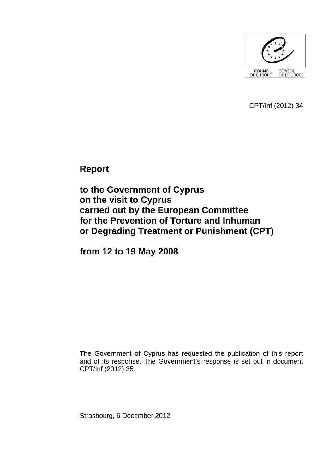

CPT/Inf (2012) 34

**Report** 

**to the Government of Cyprus on the visit to Cyprus carried out by the European Committee for the Prevention of Torture and Inhuman or Degrading Treatment or Punishment (CPT)** 

**from 12 to 19 May 2008** 

The Government of Cyprus has requested the publication of this report and of its response. The Government's response is set out in document CPT/Inf (2012) 35.

Strasbourg, 6 December 2012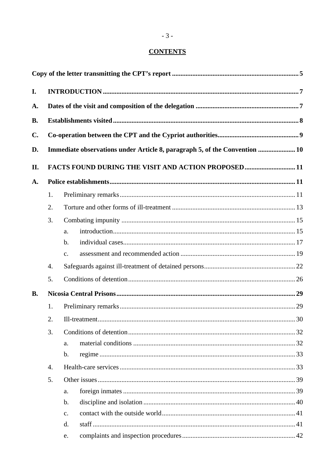# **CONTENTS**

| I.        |    |                                                                            |  |
|-----------|----|----------------------------------------------------------------------------|--|
| A.        |    |                                                                            |  |
| <b>B.</b> |    |                                                                            |  |
| C.        |    |                                                                            |  |
| D.        |    | Immediate observations under Article 8, paragraph 5, of the Convention  10 |  |
|           |    |                                                                            |  |
| II.       |    | FACTS FOUND DURING THE VISIT AND ACTION PROPOSED11                         |  |
| A.        |    |                                                                            |  |
|           | 1. |                                                                            |  |
|           | 2. |                                                                            |  |
|           | 3. |                                                                            |  |
|           |    | a.                                                                         |  |
|           |    | $\mathbf{b}$ .                                                             |  |
|           |    | c.                                                                         |  |
|           | 4. |                                                                            |  |
|           | 5. |                                                                            |  |
| <b>B.</b> |    |                                                                            |  |
|           | 1. |                                                                            |  |
|           | 2. |                                                                            |  |
|           | 3. |                                                                            |  |
|           |    | a.                                                                         |  |
|           |    | $\mathbf b$ .                                                              |  |
|           | 4. |                                                                            |  |
|           | 5. |                                                                            |  |
|           |    | a.                                                                         |  |
|           |    | b.                                                                         |  |
|           |    | c.                                                                         |  |
|           |    | d.                                                                         |  |
|           |    | e.                                                                         |  |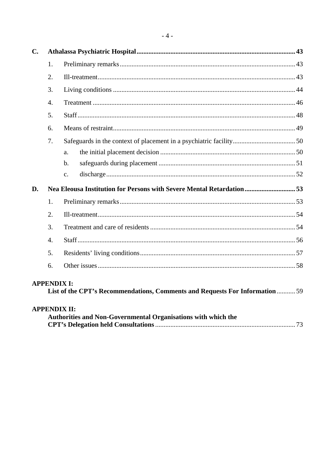| $C_{\bullet}$                                                                        |                    |                                                                             |  |  |  |
|--------------------------------------------------------------------------------------|--------------------|-----------------------------------------------------------------------------|--|--|--|
|                                                                                      | 1.                 |                                                                             |  |  |  |
|                                                                                      | 2.                 |                                                                             |  |  |  |
|                                                                                      | 3.                 |                                                                             |  |  |  |
|                                                                                      | $\overline{4}$ .   |                                                                             |  |  |  |
|                                                                                      | 5.                 |                                                                             |  |  |  |
|                                                                                      | 6.                 |                                                                             |  |  |  |
|                                                                                      | 7.                 |                                                                             |  |  |  |
|                                                                                      |                    | a.                                                                          |  |  |  |
|                                                                                      |                    | $\mathbf b$ .                                                               |  |  |  |
|                                                                                      |                    | $\mathbf{c}$ .                                                              |  |  |  |
| D.                                                                                   |                    | Nea Eleousa Institution for Persons with Severe Mental Retardation53        |  |  |  |
|                                                                                      | 1.                 |                                                                             |  |  |  |
|                                                                                      | 2.                 |                                                                             |  |  |  |
|                                                                                      | $\overline{3}$ .   |                                                                             |  |  |  |
|                                                                                      | $\overline{4}$ .   |                                                                             |  |  |  |
|                                                                                      | 5.                 |                                                                             |  |  |  |
|                                                                                      | 6.                 |                                                                             |  |  |  |
|                                                                                      | <b>APPENDIX I:</b> | List of the CPT's Recommendations, Comments and Requests For Information 59 |  |  |  |
| <b>APPENDIX II:</b><br>Authorities and Non-Governmental Organisations with which the |                    |                                                                             |  |  |  |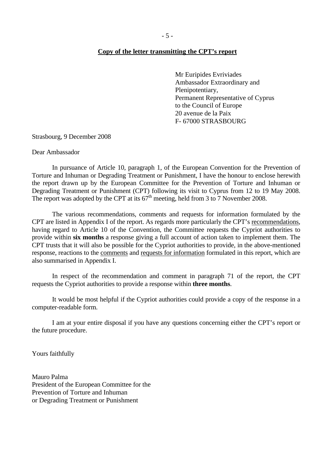#### <span id="page-4-0"></span>**Copy of the letter transmitting the CPT's report**

Mr Euripides Evriviades Ambassador Extraordinary and Plenipotentiary, Permanent Representative of Cyprus to the Council of Europe 20 avenue de la Paix F- 67000 STRASBOURG

Strasbourg, 9 December 2008

Dear Ambassador

 In pursuance of Article 10, paragraph 1, of the European Convention for the Prevention of Torture and Inhuman or Degrading Treatment or Punishment, I have the honour to enclose herewith the report drawn up by the European Committee for the Prevention of Torture and Inhuman or Degrading Treatment or Punishment (CPT) following its visit to Cyprus from 12 to 19 May 2008. The report was adopted by the CPT at its  $67<sup>th</sup>$  meeting, held from 3 to 7 November 2008.

 The various recommendations, comments and requests for information formulated by the CPT are listed in Appendix I of the report. As regards more particularly the CPT's recommendations, having regard to Article 10 of the Convention, the Committee requests the Cypriot authorities to provide within **six months** a response giving a full account of action taken to implement them. The CPT trusts that it will also be possible for the Cypriot authorities to provide, in the above-mentioned response, reactions to the comments and requests for information formulated in this report, which are also summarised in Appendix I.

 In respect of the recommendation and comment in paragraph 71 of the report, the CPT requests the Cypriot authorities to provide a response within **three months**.

 It would be most helpful if the Cypriot authorities could provide a copy of the response in a computer-readable form.

 I am at your entire disposal if you have any questions concerning either the CPT's report or the future procedure.

Yours faithfully

Mauro Palma President of the European Committee for the Prevention of Torture and Inhuman or Degrading Treatment or Punishment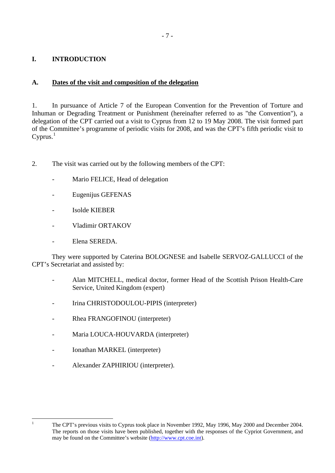# <span id="page-6-0"></span>**I. INTRODUCTION**

## **A. Dates of the visit and composition of the delegation**

1. In pursuance of Article 7 of the European Convention for the Prevention of Torture and Inhuman or Degrading Treatment or Punishment (hereinafter referred to as "the Convention"), a delegation of the CPT carried out a visit to Cyprus from 12 to 19 May 2008. The visit formed part of the Committee's programme of periodic visits for 2008, and was the CPT's fifth periodic visit to Cyprus. $<sup>1</sup>$  $<sup>1</sup>$  $<sup>1</sup>$ </sup>

- 2. The visit was carried out by the following members of the CPT:
	- Mario FELICE, Head of delegation
	- Eugenijus GEFENAS
	- Isolde KIEBER
	- Vladimir ORTAKOV
	- Elena SEREDA.

 They were supported by Caterina BOLOGNESE and Isabelle SERVOZ-GALLUCCI of the CPT's Secretariat and assisted by:

- Alan MITCHELL, medical doctor, former Head of the Scottish Prison Health-Care Service, United Kingdom (expert)
- Irina CHRISTODOULOU-PIPIS (interpreter)
- Rhea FRANGOFINOU (interpreter)
- Maria LOUCA-HOUVARDA (interpreter)
- Ionathan MARKEL (interpreter)

<span id="page-6-1"></span> $\frac{1}{1}$ 

Alexander ZAPHIRIOU (interpreter).

The CPT's previous visits to Cyprus took place in November 1992, May 1996, May 2000 and December 2004. The reports on those visits have been published, together with the responses of the Cypriot Government, and may be found on the Committee's website [\(http://www.cpt.coe.int\)](http://www.cpt.coe.int/).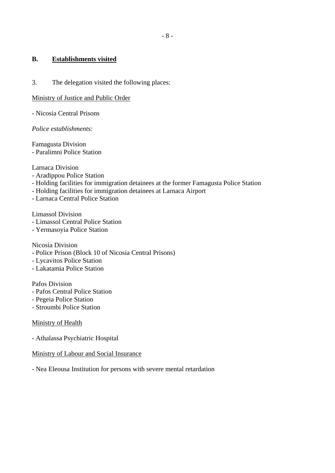### <span id="page-7-0"></span>**B. Establishments visited**

3. The delegation visited the following places:

### Ministry of Justice and Public Order

- Nicosia Central Prisons

*Police establishments:* 

Famagusta Division - Paralimni Police Station

Larnaca Division

- Aradippou Police Station
- Holding facilities for immigration detainees at the former Famagusta Police Station
- Holding facilities for immigration detainees at Larnaca Airport
- Larnaca Central Police Station

Limassol Division

- Limassol Central Police Station
- Yermasoyia Police Station

Nicosia Division

- Police Prison (Block 10 of Nicosia Central Prisons)
- Lycavitos Police Station
- Lakatamia Police Station

Pafos Division

- Pafos Central Police Station
- Pegeia Police Station
- Stroumbi Police Station

### Ministry of Health

- Athalassa Psychiatric Hospital

### Ministry of Labour and Social Insurance

- Nea Eleousa Institution for persons with severe mental retardation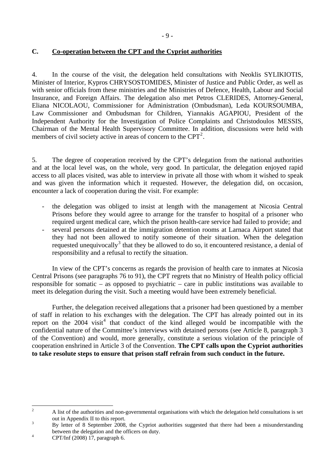## <span id="page-8-0"></span>**C. Co-operation between the CPT and the Cypriot authorities**

4. In the course of the visit, the delegation held consultations with Neoklis SYLIKIOTIS, Minister of Interior, Kypros CHRYSOSTOMIDES, Minister of Justice and Public Order, as well as with senior officials from these ministries and the Ministries of Defence, Health, Labour and Social Insurance, and Foreign Affairs. The delegation also met Petros CLERIDES, Attorney-General, Eliana NICOLAOU, Commissioner for Administration (Ombudsman), Leda KOURSOUMBA, Law Commissioner and Ombudsman for Children, Yiannakis AGAPIOU, President of the Independent Authority for the Investigation of Police Complaints and Christodoulos MESSIS, Chairman of the Mental Health Supervisory Committee. In addition, discussions were held with members of civil society active in areas of concern to the  $CPT<sup>2</sup>$  $CPT<sup>2</sup>$  $CPT<sup>2</sup>$ .

5. The degree of cooperation received by the CPT's delegation from the national authorities and at the local level was, on the whole, very good. In particular, the delegation enjoyed rapid access to all places visited, was able to interview in private all those with whom it wished to speak and was given the information which it requested. However, the delegation did, on occasion, encounter a lack of cooperation during the visit. For example:

- the delegation was obliged to insist at length with the management at Nicosia Central Prisons before they would agree to arrange for the transfer to hospital of a prisoner who required urgent medical care, which the prison health-care service had failed to provide; and
- several persons detained at the immigration detention rooms at Larnaca Airport stated that they had not been allowed to notify someone of their situation. When the delegation requested unequivocally<sup>[3](#page-8-2)</sup> that they be allowed to do so, it encountered resistance, a denial of responsibility and a refusal to rectify the situation.

In view of the CPT's concerns as regards the provision of health care to inmates at Nicosia Central Prisons (see paragraphs 76 to 91), the CPT regrets that no Ministry of Health policy official responsible for somatic – as opposed to psychiatric – care in public institutions was available to meet its delegation during the visit. Such a meeting would have been extremely beneficial.

 Further, the delegation received allegations that a prisoner had been questioned by a member of staff in relation to his exchanges with the delegation. The CPT has already pointed out in its report on the  $2004$  $2004$  visit<sup>4</sup> that conduct of the kind alleged would be incompatible with the confidential nature of the Committee's interviews with detained persons (see Article 8, paragraph 3 of the Convention) and would, more generally, constitute a serious violation of the principle of cooperation enshrined in Article 3 of the Convention. **The CPT calls upon the Cypriot authorities to take resolute steps to ensure that prison staff refrain from such conduct in the future.** 

<span id="page-8-1"></span> $\frac{1}{2}$  A list of the authorities and non-governmental organisations with which the delegation held consultations is set out in Appendix II to this report.

<span id="page-8-2"></span>By letter of 8 September 2008, the Cypriot authorities suggested that there had been a misunderstanding between the delegation and the officers on duty.

<span id="page-8-3"></span>CPT/Inf (2008) 17, paragraph 6.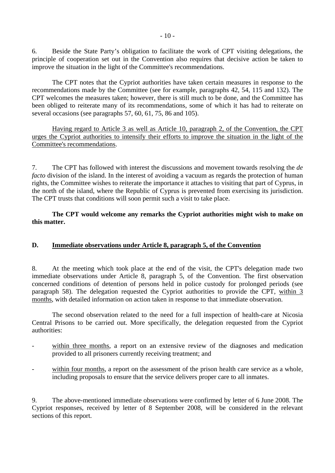<span id="page-9-0"></span>6. Beside the State Party's obligation to facilitate the work of CPT visiting delegations, the principle of cooperation set out in the Convention also requires that decisive action be taken to improve the situation in the light of the Committee's recommendations.

 The CPT notes that the Cypriot authorities have taken certain measures in response to the recommendations made by the Committee (see for example, paragraphs 42, 54, 115 and 132). The CPT welcomes the measures taken; however, there is still much to be done, and the Committee has been obliged to reiterate many of its recommendations, some of which it has had to reiterate on several occasions (see paragraphs 57, 60, 61, 75, 86 and 105).

Having regard to Article 3 as well as Article 10, paragraph 2, of the Convention, the CPT urges the Cypriot authorities to intensify their efforts to improve the situation in the light of the Committee's recommendations.

7. The CPT has followed with interest the discussions and movement towards resolving the *de facto* division of the island. In the interest of avoiding a vacuum as regards the protection of human rights, the Committee wishes to reiterate the importance it attaches to visiting that part of Cyprus, in the north of the island, where the Republic of Cyprus is prevented from exercising its jurisdiction. The CPT trusts that conditions will soon permit such a visit to take place.

## **The CPT would welcome any remarks the Cypriot authorities might wish to make on this matter.**

## **D. Immediate observations under Article 8, paragraph 5, of the Convention**

8. At the meeting which took place at the end of the visit, the CPT's delegation made two immediate observations under Article 8, paragraph 5, of the Convention. The first observation concerned conditions of detention of persons held in police custody for prolonged periods (see paragraph 58). The delegation requested the Cypriot authorities to provide the CPT, within 3 months, with detailed information on action taken in response to that immediate observation.

 The second observation related to the need for a full inspection of health-care at Nicosia Central Prisons to be carried out. More specifically, the delegation requested from the Cypriot authorities:

- within three months, a report on an extensive review of the diagnoses and medication provided to all prisoners currently receiving treatment; and
- within four months, a report on the assessment of the prison health care service as a whole, including proposals to ensure that the service delivers proper care to all inmates.

9. The above-mentioned immediate observations were confirmed by letter of 6 June 2008. The Cypriot responses, received by letter of 8 September 2008, will be considered in the relevant sections of this report.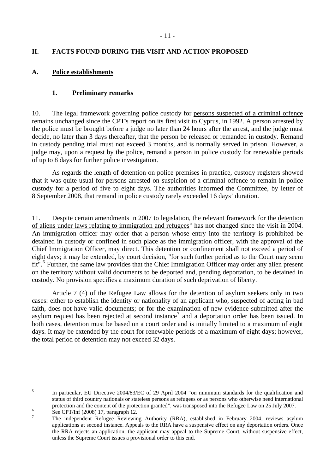## <span id="page-10-0"></span>**II. FACTS FOUND DURING THE VISIT AND ACTION PROPOSED**

## **A. Police establishments**

### **1. Preliminary remarks**

10. The legal framework governing police custody for persons suspected of a criminal offence remains unchanged since the CPT's report on its first visit to Cyprus, in 1992. A person arrested by the police must be brought before a judge no later than 24 hours after the arrest, and the judge must decide, no later than 3 days thereafter, that the person be released or remanded in custody. Remand in custody pending trial must not exceed 3 months, and is normally served in prison. However, a judge may, upon a request by the police, remand a person in police custody for renewable periods of up to 8 days for further police investigation.

As regards the length of detention on police premises in practice, custody registers showed that it was quite usual for persons arrested on suspicion of a criminal offence to remain in police custody for a period of five to eight days. The authorities informed the Committee, by letter of 8 September 2008, that remand in police custody rarely exceeded 16 days' duration.

11. Despite certain amendments in 2007 to legislation, the relevant framework for the detention of aliens under laws relating to immigration and refugees<sup>[5](#page-10-1)</sup> has not changed since the visit in 2004. An immigration officer may order that a person whose entry into the territory is prohibited be detained in custody or confined in such place as the immigration officer, with the approval of the Chief Immigration Officer, may direct. This detention or confinement shall not exceed a period of eight days; it may be extended, by court decision, "for such further period as to the Court may seem fit".<sup>[6](#page-10-2)</sup> Further, the same law provides that the Chief Immigration Officer may order any alien present on the territory without valid documents to be deported and, pending deportation, to be detained in custody. No provision specifies a maximum duration of such deprivation of liberty.

 Article 7 (4) of the Refugee Law allows for the detention of asylum seekers only in two cases: either to establish the identity or nationality of an applicant who, suspected of acting in bad faith, does not have valid documents; or for the examination of new evidence submitted after the asylum request has been rejected at second instance<sup>[7](#page-10-3)</sup> and a deportation order has been issued. In both cases, detention must be based on a court order and is initially limited to a maximum of eight days. It may be extended by the court for renewable periods of a maximum of eight days; however, the total period of detention may not exceed 32 days.

<span id="page-10-1"></span> 5 In particular, EU Directive 2004/83/EC of 29 April 2004 "on minimum standards for the qualification and status of third country nationals or stateless persons as refugees or as persons who otherwise need international protection and the content of the protection granted", was transposed into the Refugee Law on 25 July 2007.

<span id="page-10-2"></span>See CPT/Inf (2008) 17, paragraph 12.

<span id="page-10-3"></span><sup>7</sup> The independent Refugee Reviewing Authority (RRA), established in February 2004, reviews asylum applications at second instance. Appeals to the RRA have a suspensive effect on any deportation orders. Once the RRA rejects an application, the applicant may appeal to the Supreme Court, without suspensive effect, unless the Supreme Court issues a provisional order to this end.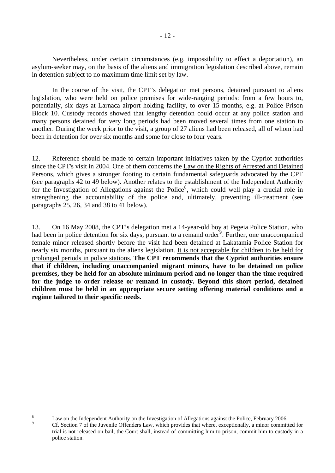Nevertheless, under certain circumstances (e.g. impossibility to effect a deportation), an asylum-seeker may, on the basis of the aliens and immigration legislation described above, remain in detention subject to no maximum time limit set by law.

 In the course of the visit, the CPT's delegation met persons, detained pursuant to aliens legislation, who were held on police premises for wide-ranging periods: from a few hours to, potentially, six days at Larnaca airport holding facility, to over 15 months, e.g. at Police Prison Block 10. Custody records showed that lengthy detention could occur at any police station and many persons detained for very long periods had been moved several times from one station to another. During the week prior to the visit, a group of 27 aliens had been released, all of whom had been in detention for over six months and some for close to four years.

12. Reference should be made to certain important initiatives taken by the Cypriot authorities since the CPT's visit in 2004. One of them concerns the Law on the Rights of Arrested and Detained Persons, which gives a stronger footing to certain fundamental safeguards advocated by the CPT (see paragraphs 42 to 49 below). Another relates to the establishment of the Independent Authority for the Investigation of Allegations against the Police<sup>[8](#page-11-0)</sup>, which could well play a crucial role in strengthening the accountability of the police and, ultimately, preventing ill-treatment (see paragraphs 25, 26, 34 and 38 to 41 below).

13. On 16 May 2008, the CPT's delegation met a 14-year-old boy at Pegeia Police Station, who had been in police detention for six days, pursuant to a remand order<sup>[9](#page-11-1)</sup>. Further, one unaccompanied female minor released shortly before the visit had been detained at Lakatamia Police Station for nearly six months, pursuant to the aliens legislation. It is not acceptable for children to be held for prolonged periods in police stations. **The CPT recommends that the Cypriot authorities ensure that if children, including unaccompanied migrant minors, have to be detained on police premises, they be held for an absolute minimum period and no longer than the time required for the judge to order release or remand in custody. Beyond this short period, detained children must be held in an appropriate secure setting offering material conditions and a regime tailored to their specific needs.** 

<span id="page-11-1"></span><span id="page-11-0"></span> 8 Law on the Independent Authority on the Investigation of Allegations against the Police, February 2006.  $\alpha$ 

Cf. Section 7 of the Juvenile Offenders Law, which provides that where, exceptionally, a minor committed for trial is not released on bail, the Court shall, instead of committing him to prison, commit him to custody in a police station.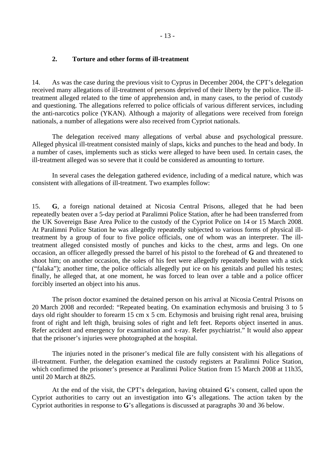#### <span id="page-12-0"></span>**2. Torture and other forms of ill-treatment**

14. As was the case during the previous visit to Cyprus in December 2004, the CPT's delegation received many allegations of ill-treatment of persons deprived of their liberty by the police. The illtreatment alleged related to the time of apprehension and, in many cases, to the period of custody and questioning. The allegations referred to police officials of various different services, including the anti-narcotics police (YKAN). Although a majority of allegations were received from foreign nationals, a number of allegations were also received from Cypriot nationals.

The delegation received many allegations of verbal abuse and psychological pressure. Alleged physical ill-treatment consisted mainly of slaps, kicks and punches to the head and body. In a number of cases, implements such as sticks were alleged to have been used. In certain cases, the ill-treatment alleged was so severe that it could be considered as amounting to torture.

In several cases the delegation gathered evidence, including of a medical nature, which was consistent with allegations of ill-treatment. Two examples follow:

15. **G**, a foreign national detained at Nicosia Central Prisons, alleged that he had been repeatedly beaten over a 5-day period at Paralimni Police Station, after he had been transferred from the UK Sovereign Base Area Police to the custody of the Cypriot Police on 14 or 15 March 2008. At Paralimni Police Station he was allegedly repeatedly subjected to various forms of physical illtreatment by a group of four to five police officials, one of whom was an interpreter. The illtreatment alleged consisted mostly of punches and kicks to the chest, arms and legs. On one occasion, an officer allegedly pressed the barrel of his pistol to the forehead of **G** and threatened to shoot him; on another occasion, the soles of his feet were allegedly repeatedly beaten with a stick ("falaka"); another time, the police officials allegedly put ice on his genitals and pulled his testes; finally, he alleged that, at one moment, he was forced to lean over a table and a police officer forcibly inserted an object into his anus.

The prison doctor examined the detained person on his arrival at Nicosia Central Prisons on 20 March 2008 and recorded: "Repeated beating. On examination echymosis and bruising 3 to 5 days old right shoulder to forearm 15 cm x 5 cm. Echymosis and bruising right renal area, bruising front of right and left thigh, bruising soles of right and left feet. Reports object inserted in anus. Refer accident and emergency for examination and x-ray. Refer psychiatrist." It would also appear that the prisoner's injuries were photographed at the hospital.

The injuries noted in the prisoner's medical file are fully consistent with his allegations of ill-treatment. Further, the delegation examined the custody registers at Paralimni Police Station, which confirmed the prisoner's presence at Paralimni Police Station from 15 March 2008 at 11h35, until 20 March at 8h25.

At the end of the visit, the CPT's delegation, having obtained **G**'s consent, called upon the Cypriot authorities to carry out an investigation into **G**'s allegations. The action taken by the Cypriot authorities in response to **G**'s allegations is discussed at paragraphs 30 and 36 below.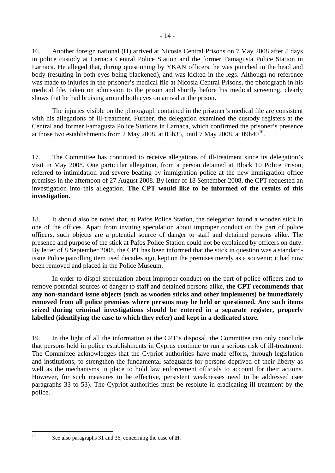16. Another foreign national (**H**) arrived at Nicosia Central Prisons on 7 May 2008 after 5 days in police custody at Larnaca Central Police Station and the former Famagusta Police Station in Larnaca. He alleged that, during questioning by YKAN officers, he was punched in the head and body (resulting in both eyes being blackened), and was kicked in the legs. Although no reference was made to injuries in the prisoner's medical file at Nicosia Central Prisons, the photograph in his medical file, taken on admission to the prison and shortly before his medical screening, clearly shows that he had bruising around both eyes on arrival at the prison.

The injuries visible on the photograph contained in the prisoner's medical file are consistent with his allegations of ill-treatment. Further, the delegation examined the custody registers at the Central and former Famagusta Police Stations in Larnaca, which confirmed the prisoner's presence at those two establishments from 2 May 2008, at 05h35, until 7 May 2008, at 09h40<sup>[10](#page-13-0)</sup>.

17. The Committee has continued to receive allegations of ill-treatment since its delegation's visit in May 2008. One particular allegation, from a person detained at Block 10 Police Prison, referred to intimidation and severe beating by immigration police at the new immigration office premises in the afternoon of 27 August 2008. By letter of 18 September 2008, the CPT requested an investigation into this allegation. **The CPT would like to be informed of the results of this investigation.**

18. It should also be noted that, at Pafos Police Station, the delegation found a wooden stick in one of the offices. Apart from inviting speculation about improper conduct on the part of police officers, such objects are a potential source of danger to staff and detained persons alike. The presence and purpose of the stick at Pafos Police Station could not be explained by officers on duty. By letter of 8 September 2008, the CPT has been informed that the stick in question was a standardissue Police patrolling item used decades ago, kept on the premises merely as a souvenir; it had now been removed and placed in the Police Museum.

In order to dispel speculation about improper conduct on the part of police officers and to remove potential sources of danger to staff and detained persons alike, **the CPT recommends that any non-standard issue objects (such as wooden sticks and other implements) be immediately removed from all police premises where persons may be held or questioned. Any such items seized during criminal investigations should be entered in a separate register, properly labelled (identifying the case to which they refer) and kept in a dedicated store.** 

19. In the light of all the information at the CPT's disposal, the Committee can only conclude that persons held in police establishments in Cyprus continue to run a serious risk of ill-treatment. The Committee acknowledges that the Cypriot authorities have made efforts, through legislation and institutions, to strengthen the fundamental safeguards for persons deprived of their liberty as well as the mechanisms in place to hold law enforcement officials to account for their actions. However, for such measures to be effective, persistent weaknesses need to be addressed (see paragraphs 33 to 53). The Cypriot authorities must be resolute in eradicating ill-treatment by the police.

<span id="page-13-0"></span> $10$ 

See also paragraphs 31 and 36, concerning the case of **H**.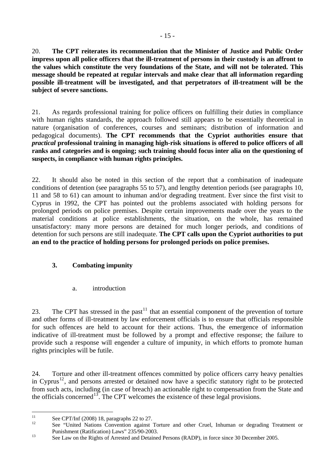<span id="page-14-0"></span>20. **The CPT reiterates its recommendation that the Minister of Justice and Public Order impress upon all police officers that the ill-treatment of persons in their custody is an affront to the values which constitute the very foundations of the State, and will not be tolerated. This message should be repeated at regular intervals and make clear that all information regarding possible ill-treatment will be investigated, and that perpetrators of ill-treatment will be the subject of severe sanctions.** 

21. As regards professional training for police officers on fulfilling their duties in compliance with human rights standards, the approach followed still appears to be essentially theoretical in nature (organisation of conferences, courses and seminars; distribution of information and pedagogical documents). **The CPT recommends that the Cypriot authorities ensure that**  *practical* **professional training in managing high-risk situations is offered to police officers of all ranks and categories and is ongoing; such training should focus inter alia on the questioning of suspects, in compliance with human rights principles.**

22. It should also be noted in this section of the report that a combination of inadequate conditions of detention (see paragraphs 55 to 57), and lengthy detention periods (see paragraphs 10, 11 and 58 to 61) can amount to inhuman and/or degrading treatment. Ever since the first visit to Cyprus in 1992, the CPT has pointed out the problems associated with holding persons for prolonged periods on police premises. Despite certain improvements made over the years to the material conditions at police establishments, the situation, on the whole, has remained unsatisfactory: many more persons are detained for much longer periods, and conditions of detention for such persons are still inadequate. **The CPT calls upon the Cypriot authorities to put an end to the practice of holding persons for prolonged periods on police premises.**

# **3. Combating impunity**

a. introduction

23. The CPT has stressed in the past<sup>[11](#page-14-1)</sup> that an essential component of the prevention of torture and other forms of ill-treatment by law enforcement officials is to ensure that officials responsible for such offences are held to account for their actions. Thus, the emergence of information indicative of ill-treatment must be followed by a prompt and effective response; the failure to provide such a response will engender a culture of impunity, in which efforts to promote human rights principles will be futile.

24. Torture and other ill-treatment offences committed by police officers carry heavy penalties in Cyprus<sup>[12](#page-14-2)</sup>, and persons arrested or detained now have a specific statutory right to be protected from such acts, including (in case of breach) an actionable right to compensation from the State and the officials concerned<sup>[13](#page-14-3)</sup>. The CPT welcomes the existence of these legal provisions.

<span id="page-14-1"></span> $11$  $\frac{11}{12}$  See CPT/Inf (2008) 18, paragraphs 22 to 27.

<span id="page-14-2"></span>See "United Nations Convention against Torture and other Cruel, Inhuman or degrading Treatment or

<span id="page-14-3"></span>Punishment (Ratification) Laws" 235/90-2003.<br>See Law on the Rights of Arrested and Detained Persons (RADP), in force since 30 December 2005.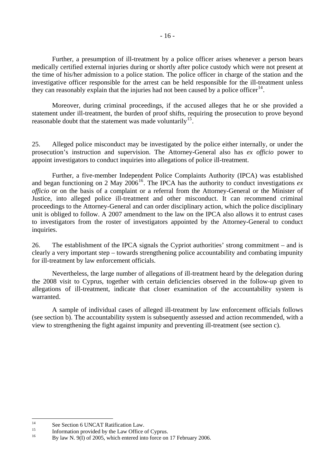Further, a presumption of ill-treatment by a police officer arises whenever a person bears medically certified external injuries during or shortly after police custody which were not present at the time of his/her admission to a police station. The police officer in charge of the station and the investigative officer responsible for the arrest can be held responsible for the ill-treatment unless they can reasonably explain that the injuries had not been caused by a police officer<sup>[14](#page-15-0)</sup>.

 Moreover, during criminal proceedings, if the accused alleges that he or she provided a statement under ill-treatment, the burden of proof shifts, requiring the prosecution to prove beyond reasonable doubt that the statement was made voluntarily<sup>[15](#page-15-1)</sup>.

25. Alleged police misconduct may be investigated by the police either internally, or under the prosecution's instruction and supervision. The Attorney-General also has *ex officio* power to appoint investigators to conduct inquiries into allegations of police ill-treatment.

Further, a five-member Independent Police Complaints Authority (IPCA) was established and began functioning on 2 May  $2006^{16}$  $2006^{16}$  $2006^{16}$ . The IPCA has the authority to conduct investigations *ex officio* or on the basis of a complaint or a referral from the Attorney-General or the Minister of Justice, into alleged police ill-treatment and other misconduct. It can recommend criminal proceedings to the Attorney-General and can order disciplinary action, which the police disciplinary unit is obliged to follow. A 2007 amendment to the law on the IPCA also allows it to entrust cases to investigators from the roster of investigators appointed by the Attorney-General to conduct inquiries.

26. The establishment of the IPCA signals the Cypriot authorities' strong commitment – and is clearly a very important step – towards strengthening police accountability and combating impunity for ill-treatment by law enforcement officials.

Nevertheless, the large number of allegations of ill-treatment heard by the delegation during the 2008 visit to Cyprus, together with certain deficiencies observed in the follow-up given to allegations of ill-treatment, indicate that closer examination of the accountability system is warranted.

A sample of individual cases of alleged ill-treatment by law enforcement officials follows (see section b). The accountability system is subsequently assessed and action recommended, with a view to strengthening the fight against impunity and preventing ill-treatment (see section c).

<span id="page-15-0"></span> $14$ <sup>14</sup> See Section 6 UNCAT Ratification Law.

<span id="page-15-1"></span><sup>&</sup>lt;sup>15</sup> Information provided by the Law Office of Cyprus.

<span id="page-15-2"></span>By law N. 9(I) of 2005, which entered into force on 17 February 2006.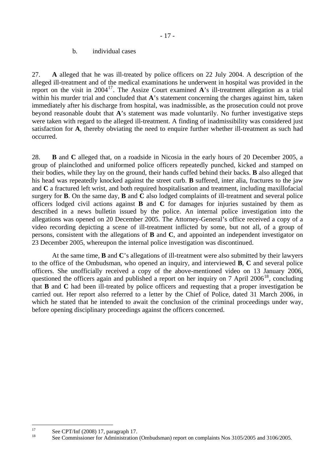### b. individual cases

<span id="page-16-0"></span>27. **A** alleged that he was ill-treated by police officers on 22 July 2004. A description of the alleged ill-treatment and of the medical examinations he underwent in hospital was provided in the report on the visit in  $2004^{17}$  $2004^{17}$  $2004^{17}$ . The Assize Court examined **A**'s ill-treatment allegation as a trial within his murder trial and concluded that **A**'s statement concerning the charges against him, taken immediately after his discharge from hospital, was inadmissible, as the prosecution could not prove beyond reasonable doubt that **A**'s statement was made voluntarily. No further investigative steps were taken with regard to the alleged ill-treatment. A finding of inadmissibility was considered just satisfaction for **A**, thereby obviating the need to enquire further whether ill-treatment as such had occurred.

28. **B** and **C** alleged that, on a roadside in Nicosia in the early hours of 20 December 2005, a group of plainclothed and uniformed police officers repeatedly punched, kicked and stamped on their bodies, while they lay on the ground, their hands cuffed behind their backs. **B** also alleged that his head was repeatedly knocked against the street curb. **B** suffered, inter alia, fractures to the jaw and **C** a fractured left wrist, and both required hospitalisation and treatment, including maxillofacial surgery for **B**. On the same day, **B** and **C** also lodged complaints of ill-treatment and several police officers lodged civil actions against **B** and **C** for damages for injuries sustained by them as described in a news bulletin issued by the police. An internal police investigation into the allegations was opened on 20 December 2005. The Attorney-General's office received a copy of a video recording depicting a scene of ill-treatment inflicted by some, but not all, of a group of persons, consistent with the allegations of **B** and **C**, and appointed an independent investigator on 23 December 2005, whereupon the internal police investigation was discontinued.

At the same time, **B** and **C**'s allegations of ill-treatment were also submitted by their lawyers to the office of the Ombudsman, who opened an inquiry, and interviewed **B**, **C** and several police officers. She unofficially received a copy of the above-mentioned video on 13 January 2006, questioned the officers again and published a report on her inquiry on  $7$  April  $2006^{18}$  $2006^{18}$  $2006^{18}$ , concluding that **B** and **C** had been ill-treated by police officers and requesting that a proper investigation be carried out. Her report also referred to a letter by the Chief of Police, dated 31 March 2006, in which he stated that he intended to await the conclusion of the criminal proceedings under way, before opening disciplinary proceedings against the officers concerned.

<span id="page-16-1"></span> $17$  $\frac{17}{18}$  See CPT/Inf (2008) 17, paragraph 17.

<span id="page-16-2"></span>See Commissioner for Administration (Ombudsman) report on complaints Nos 3105/2005 and 3106/2005.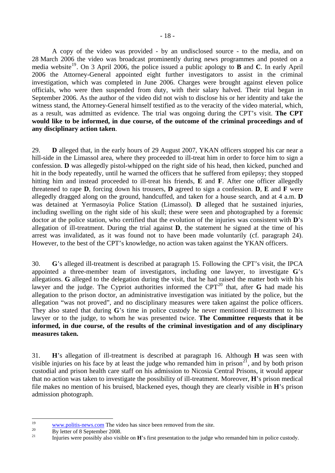A copy of the video was provided - by an undisclosed source - to the media, and on 28 March 2006 the video was broadcast prominently during news programmes and posted on a media website<sup>[19](#page-17-0)</sup>. On 3 April 2006, the police issued a public apology to **B** and **C**. In early April 2006 the Attorney-General appointed eight further investigators to assist in the criminal investigation, which was completed in June 2006. Charges were brought against eleven police officials, who were then suspended from duty, with their salary halved. Their trial began in September 2006. As the author of the video did not wish to disclose his or her identity and take the witness stand, the Attorney-General himself testified as to the veracity of the video material, which, as a result, was admitted as evidence. The trial was ongoing during the CPT's visit. **The CPT would like to be informed, in due course, of the outcome of the criminal proceedings and of any disciplinary action taken**.

29. **D** alleged that, in the early hours of 29 August 2007, YKAN officers stopped his car near a hill-side in the Limassol area, where they proceeded to ill-treat him in order to force him to sign a confession. **D** was allegedly pistol-whipped on the right side of his head, then kicked, punched and hit in the body repeatedly, until he warned the officers that he suffered from epilepsy; they stopped hitting him and instead proceeded to ill-treat his friends, **E** and **F**. After one officer allegedly threatened to rape **D**, forcing down his trousers, **D** agreed to sign a confession. **D**, **E** and **F** were allegedly dragged along on the ground, handcuffed, and taken for a house search, and at 4 a.m. **D**  was detained at Yermasoyia Police Station (Limassol). **D** alleged that he sustained injuries, including swelling on the right side of his skull; these were seen and photographed by a forensic doctor at the police station, who certified that the evolution of the injuries was consistent with **D**'s allegation of ill-treatment. During the trial against **D**, the statement he signed at the time of his arrest was invalidated, as it was found not to have been made voluntarily (cf. paragraph 24). However, to the best of the CPT's knowledge, no action was taken against the YKAN officers.

30. **G**'s alleged ill-treatment is described at paragraph 15. Following the CPT's visit, the IPCA appointed a three-member team of investigators, including one lawyer, to investigate **G**'s allegations. **G** alleged to the delegation during the visit, that he had raised the matter both with his lawyer and the judge. The Cypriot authorities informed the  $CPT<sup>20</sup>$  $CPT<sup>20</sup>$  $CPT<sup>20</sup>$  that, after **G** had made his allegation to the prison doctor, an administrative investigation was initiated by the police, but the allegation "was not proved", and no disciplinary measures were taken against the police officers. They also stated that during **G**'s time in police custody he never mentioned ill-treatment to his lawyer or to the judge, to whom he was presented twice. **The Committee requests that it be informed, in due course, of the results of the criminal investigation and of any disciplinary measures taken.**

31. **H**'s allegation of ill-treatment is described at paragraph 16. Although **H** was seen with visible injuries on his face by at least the judge who remanded him in prison<sup>[21](#page-17-2)</sup>, and by both prison custodial and prison health care staff on his admission to Nicosia Central Prisons, it would appear that no action was taken to investigate the possibility of ill-treatment. Moreover, **H**'s prison medical file makes no mention of his bruised, blackened eyes, though they are clearly visible in **H**'s prison admission photograph.

<span id="page-17-0"></span> $10$ <sup>19</sup><br><sup>20</sup> [www.politis-news.com](http://www.politis-news.com/) The video has since been removed from the site.<br>By letter of 8 September 2008.

<span id="page-17-2"></span><span id="page-17-1"></span>

<sup>21</sup> Injuries were possibly also visible on **H**'s first presentation to the judge who remanded him in police custody.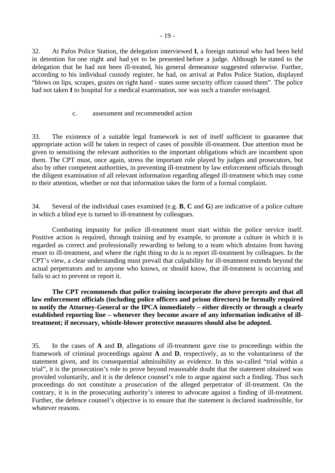<span id="page-18-0"></span>32. At Pafos Police Station, the delegation interviewed **I**, a foreign national who had been held in detention for one night and had yet to be presented before a judge. Although he stated to the delegation that he had not been ill-treated, his general demeanour suggested otherwise. Further, according to his individual custody register, he had, on arrival at Pafos Police Station, displayed "blows on lips, scrapes, grazes on right hand - states some security officer caused them". The police had not taken **I** to hospital for a medical examination, nor was such a transfer envisaged.

#### c. assessment and recommended action

33. The existence of a suitable legal framework is not of itself sufficient to guarantee that appropriate action will be taken in respect of cases of possible ill-treatment. Due attention must be given to sensitising the relevant authorities to the important obligations which are incumbent upon them. The CPT must, once again, stress the important role played by judges and prosecutors, but also by other competent authorities, in preventing ill-treatment by law enforcement officials through the diligent examination of all relevant information regarding alleged ill-treatment which may come to their attention, whether or not that information takes the form of a formal complaint.

34. Several of the individual cases examined (e.g. **B**, **C** and **G**) are indicative of a police culture in which a blind eye is turned to ill-treatment by colleagues.

Combating impunity for police ill-treatment must start within the police service itself. Positive action is required, through training and by example, to promote a culture in which it is regarded as correct and professionally rewarding to belong to a team which abstains from having resort to ill-treatment, and where the right thing to do is to report ill-treatment by colleagues. In the CPT's view, a clear understanding must prevail that culpability for ill-treatment extends beyond the actual perpetrators and to anyone who knows, or should know, that ill-treatment is occurring and fails to act to prevent or report it.

**The CPT recommends that police training incorporate the above precepts and that all law enforcement officials (including police officers and prison directors) be formally required to notify the Attorney-General or the IPCA immediately – either directly or through a clearly established reporting line – whenever they become aware of any information indicative of illtreatment; if necessary, whistle-blower protective measures should also be adopted.** 

35. In the cases of **A** and **D**, allegations of ill-treatment gave rise to proceedings within the framework of criminal proceedings against **A** and **D**, respectively, as to the voluntariness of the statement given, and its consequential admissibility as evidence. In this so-called "trial within a trial", it is the prosecution's role to prove beyond reasonable doubt that the statement obtained was provided voluntarily, and it is the defence counsel's role to argue against such a finding. Thus such proceedings do not constitute a *prosecution* of the alleged perpetrator of ill-treatment. On the contrary, it is in the prosecuting authority's interest to advocate against a finding of ill-treatment. Further, the defence counsel's objective is to ensure that the statement is declared inadmissible, for whatever reasons.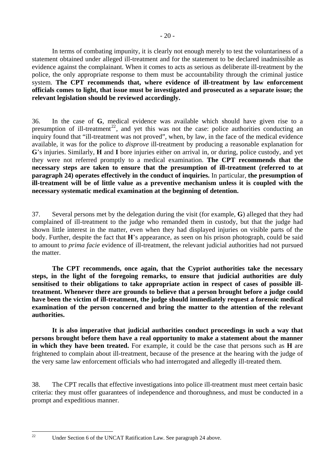In terms of combating impunity, it is clearly not enough merely to test the voluntariness of a statement obtained under alleged ill-treatment and for the statement to be declared inadmissible as evidence against the complainant. When it comes to acts as serious as deliberate ill-treatment by the police, the only appropriate response to them must be accountability through the criminal justice system. **The CPT recommends that, where evidence of ill-treatment by law enforcement officials comes to light, that issue must be investigated and prosecuted as a separate issue; the relevant legislation should be reviewed accordingly.**

36. In the case of **G**, medical evidence was available which should have given rise to a presumption of ill-treatment<sup>[22](#page-19-0)</sup>, and yet this was not the case: police authorities conducting an inquiry found that "ill-treatment was not proved", when, by law, in the face of the medical evidence available, it was for the police to *disprove* ill-treatment by producing a reasonable explanation for **G**'s injuries. Similarly, **H** and **I** bore injuries either on arrival in, or during, police custody, and yet they were not referred promptly to a medical examination. **The CPT recommends that the necessary steps are taken to ensure that the presumption of ill-treatment (referred to at paragraph 24) operates effectively in the conduct of inquiries.** In particular, **the presumption of ill-treatment will be of little value as a preventive mechanism unless it is coupled with the necessary systematic medical examination at the beginning of detention.** 

37. Several persons met by the delegation during the visit (for example, **G**) alleged that they had complained of ill-treatment to the judge who remanded them in custody, but that the judge had shown little interest in the matter, even when they had displayed injuries on visible parts of the body. Further, despite the fact that **H**'s appearance, as seen on his prison photograph, could be said to amount to *prima facie* evidence of ill-treatment, the relevant judicial authorities had not pursued the matter.

**The CPT recommends, once again, that the Cypriot authorities take the necessary steps, in the light of the foregoing remarks, to ensure that judicial authorities are duly sensitised to their obligations to take appropriate action in respect of cases of possible illtreatment. Whenever there are grounds to believe that a person brought before a judge could have been the victim of ill-treatment, the judge should immediately request a forensic medical examination of the person concerned and bring the matter to the attention of the relevant authorities.** 

**It is also imperative that judicial authorities conduct proceedings in such a way that persons brought before them have a real opportunity to make a statement about the manner in which they have been treated.** For example, it could be the case that persons such as **H** are frightened to complain about ill-treatment, because of the presence at the hearing with the judge of the very same law enforcement officials who had interrogated and allegedly ill-treated them.

38. The CPT recalls that effective investigations into police ill-treatment must meet certain basic criteria: they must offer guarantees of independence and thoroughness, and must be conducted in a prompt and expeditious manner.

<span id="page-19-0"></span> $\mathfrak{D}$ 

Under Section 6 of the UNCAT Ratification Law. See paragraph 24 above.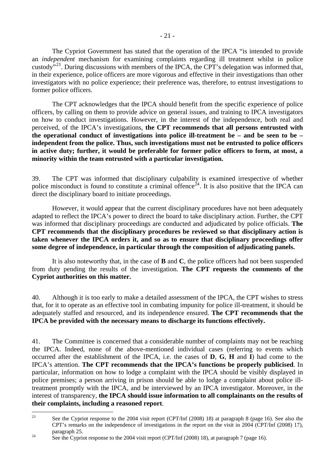The Cypriot Government has stated that the operation of the IPCA "is intended to provide an *independent* mechanism for examining complaints regarding ill treatment whilst in police custody<sup> $3,23$  $3,23$ </sup>. During discussions with members of the IPCA, the CPT's delegation was informed that, in their experience, police officers are more vigorous and effective in their investigations than other investigators with no police experience; their preference was, therefore, to entrust investigations to former police officers.

The CPT acknowledges that the IPCA should benefit from the specific experience of police officers, by calling on them to provide advice on general issues, and training to IPCA investigators on how to conduct investigations. However, in the interest of the independence, both real and perceived, of the IPCA's investigations, **the CPT recommends that all persons entrusted with the operational conduct of investigations into police ill-treatment be – and be seen to be – independent from the police. Thus, such investigations must not be entrusted to police officers in active duty; further, it would be preferable for former police officers to form, at most, a minority within the team entrusted with a particular investigation.** 

39. The CPT was informed that disciplinary culpability is examined irrespective of whether police misconduct is found to constitute a criminal offence<sup> $\tilde{2}^4$ </sup>. It is also positive that the IPCA can direct the disciplinary board to initiate proceedings.

However, it would appear that the current disciplinary procedures have not been adequately adapted to reflect the IPCA's power to direct the board to take disciplinary action. Further, the CPT was informed that disciplinary proceedings are conducted and adjudicated by police officials. **The CPT recommends that the disciplinary procedures be reviewed so that disciplinary action is taken whenever the IPCA orders it, and so as to ensure that disciplinary proceedings offer some degree of independence, in particular through the composition of adjudicating panels.**

It is also noteworthy that, in the case of **B** and **C**, the police officers had not been suspended from duty pending the results of the investigation. **The CPT requests the comments of the Cypriot authorities on this matter.** 

40. Although it is too early to make a detailed assessment of the IPCA, the CPT wishes to stress that, for it to operate as an effective tool in combating impunity for police ill-treatment, it should be adequately staffed and resourced, and its independence ensured. **The CPT recommends that the IPCA be provided with the necessary means to discharge its functions effectively.** 

41. The Committee is concerned that a considerable number of complaints may not be reaching the IPCA. Indeed, none of the above-mentioned individual cases (referring to events which occurred after the establishment of the IPCA, i.e. the cases of **D**, **G**, **H** and **I**) had come to the IPCA's attention. **The CPT recommends that the IPCA's functions be properly publicised**. In particular, information on how to lodge a complaint with the IPCA should be visibly displayed in police premises; a person arriving in prison should be able to lodge a complaint about police illtreatment promptly with the IPCA, and be interviewed by an IPCA investigator. Moreover, in the interest of transparency, **the IPCA should issue information to all complainants on the results of their complaints, including a reasoned report**.

<span id="page-20-0"></span> $\overline{23}$ See the Cypriot response to the 2004 visit report (CPT/Inf (2008) 18) at paragraph 8 (page 16). See also the CPT's remarks on the independence of investigations in the report on the visit in 2004 (CPT/Inf (2008) 17), paragraph 25.<br>See the Cypriot response to the 2004 visit report (CPT/Inf (2008) 18), at paragraph 7 (page 16).

<span id="page-20-1"></span>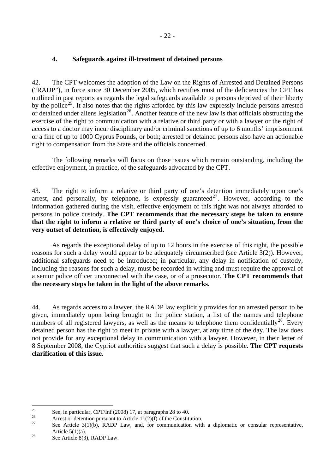## <span id="page-21-0"></span>**4. Safeguards against ill-treatment of detained persons**

42. The CPT welcomes the adoption of the Law on the Rights of Arrested and Detained Persons ("RADP"), in force since 30 December 2005, which rectifies most of the deficiencies the CPT has outlined in past reports as regards the legal safeguards available to persons deprived of their liberty by the police<sup>[25](#page-21-1)</sup>. It also notes that the rights afforded by this law expressly include persons arrested or detained under aliens legislation<sup>[26](#page-21-2)</sup>. Another feature of the new law is that officials obstructing the exercise of the right to communication with a relative or third party or with a lawyer or the right of access to a doctor may incur disciplinary and/or criminal sanctions of up to 6 months' imprisonment or a fine of up to 1000 Cyprus Pounds, or both; arrested or detained persons also have an actionable right to compensation from the State and the officials concerned.

The following remarks will focus on those issues which remain outstanding, including the effective enjoyment, in practice, of the safeguards advocated by the CPT.

43. The right to inform a relative or third party of one's detention immediately upon one's arrest, and personally, by telephone, is expressly guaranteed<sup>[27](#page-21-3)</sup>. However, according to the information gathered during the visit, effective enjoyment of this right was not always afforded to persons in police custody. **The CPT recommends that the necessary steps be taken to ensure that the right to inform a relative or third party of one's choice of one's situation, from the very outset of detention, is effectively enjoyed.** 

As regards the exceptional delay of up to 12 hours in the exercise of this right, the possible reasons for such a delay would appear to be adequately circumscribed (see Article 3(2)). However, additional safeguards need to be introduced; in particular, any delay in notification of custody, including the reasons for such a delay, must be recorded in writing and must require the approval of a senior police officer unconnected with the case, or of a prosecutor. **The CPT recommends that the necessary steps be taken in the light of the above remarks.** 

44. As regards access to a lawyer, the RADP law explicitly provides for an arrested person to be given, immediately upon being brought to the police station, a list of the names and telephone numbers of all registered lawyers, as well as the means to telephone them confidentially<sup>[28](#page-21-4)</sup>. Every detained person has the right to meet in private with a lawyer, at any time of the day. The law does not provide for any exceptional delay in communication with a lawyer. However, in their letter of 8 September 2008, the Cypriot authorities suggest that such a delay is possible. **The CPT requests clarification of this issue.** 

<span id="page-21-1"></span> $25$ <sup>25</sup> See, in particular, CPT/Inf (2008) 17, at paragraphs 28 to 40.

<span id="page-21-2"></span><sup>&</sup>lt;sup>26</sup> Arrest or detention pursuant to Article 11(2)(f) of the Constitution.

<span id="page-21-3"></span>See Article 3(1)(b), RADP Law, and, for communication with a diplomatic or consular representative, Article 5(1)(a).<br>
See Article 8(3), RADP Law.

<span id="page-21-4"></span>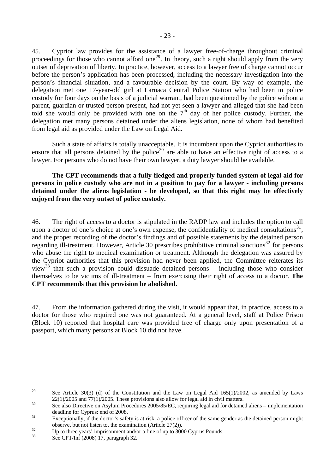45. Cypriot law provides for the assistance of a lawyer free-of-charge throughout criminal proceedings for those who cannot afford one<sup>[29](#page-22-0)</sup>. In theory, such a right should apply from the very outset of deprivation of liberty. In practice, however, access to a lawyer free of charge cannot occur before the person's application has been processed, including the necessary investigation into the person's financial situation, and a favourable decision by the court. By way of example, the delegation met one 17-year-old girl at Larnaca Central Police Station who had been in police custody for four days on the basis of a judicial warrant, had been questioned by the police without a parent, guardian or trusted person present, had not yet seen a lawyer and alleged that she had been told she would only be provided with one on the  $7<sup>th</sup>$  day of her police custody. Further, the delegation met many persons detained under the aliens legislation, none of whom had benefited from legal aid as provided under the Law on Legal Aid.

Such a state of affairs is totally unacceptable. It is incumbent upon the Cypriot authorities to ensure that all persons detained by the police<sup>[30](#page-22-1)</sup> are able to have an effective right of access to a lawyer. For persons who do not have their own lawyer, a duty lawyer should be available.

**The CPT recommends that a fully-fledged and properly funded system of legal aid for persons in police custody who are not in a position to pay for a lawyer - including persons detained under the aliens legislation - be developed, so that this right may be effectively enjoyed from the very outset of police custody.** 

46. The right of access to a doctor is stipulated in the RADP law and includes the option to call upon a doctor of one's choice at one's own expense, the confidentiality of medical consultations<sup>[31](#page-22-2)</sup>, and the proper recording of the doctor's findings and of possible statements by the detained person regarding ill-treatment. However, Article 30 prescribes prohibitive criminal sanctions<sup>[32](#page-22-3)</sup> for persons who abuse the right to medical examination or treatment. Although the delegation was assured by the Cypriot authorities that this provision had never been applied, the Committee reiterates its view<sup>[33](#page-22-4)</sup> that such a provision could dissuade detained persons – including those who consider themselves to be victims of ill-treatment – from exercising their right of access to a doctor. **The CPT recommends that this provision be abolished.** 

47. From the information gathered during the visit, it would appear that, in practice, access to a doctor for those who required one was not guaranteed. At a general level, staff at Police Prison (Block 10) reported that hospital care was provided free of charge only upon presentation of a passport, which many persons at Block 10 did not have.

<span id="page-22-0"></span><sup>29</sup> See Article 30(3) (d) of the Constitution and the Law on Legal Aid  $165(1)/2002$ , as amended by Laws  $22(1)/2005$  and  $77(1)/2005$ . These provisions also allow for legal aid in civil matters.<br><sup>30</sup> See also Directive on Asylum Procedures 2005/85/EC, requiring legal aid for detained aliens – implementation

<span id="page-22-1"></span>deadline for Cyprus: end of 2008.<br><sup>31</sup> Exceptionally, if the doctor's safety is at risk, a police officer of the same gender as the detained person might

<span id="page-22-3"></span><span id="page-22-2"></span>observe, but not listen to, the examination (Article 27(2)).<br>Up to three years' imprisonment and/or a fine of up to 3000 Cyprus Pounds.

<span id="page-22-4"></span>See CPT/Inf (2008) 17, paragraph 32.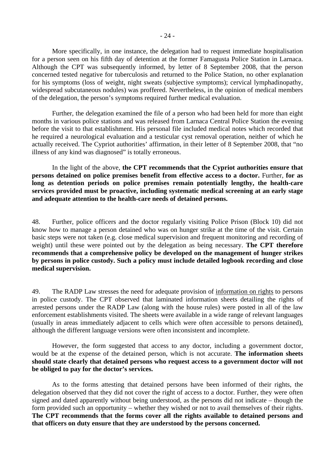More specifically, in one instance, the delegation had to request immediate hospitalisation for a person seen on his fifth day of detention at the former Famagusta Police Station in Larnaca. Although the CPT was subsequently informed, by letter of 8 September 2008, that the person concerned tested negative for tuberculosis and returned to the Police Station, no other explanation for his symptoms (loss of weight, night sweats (subjective symptoms); cervical lymphadinopathy, widespread subcutaneous nodules) was proffered. Nevertheless, in the opinion of medical members of the delegation, the person's symptoms required further medical evaluation.

Further, the delegation examined the file of a person who had been held for more than eight months in various police stations and was released from Larnaca Central Police Station the evening before the visit to that establishment. His personal file included medical notes which recorded that he required a neurological evaluation and a testicular cyst removal operation, neither of which he actually received. The Cypriot authorities' affirmation, in their letter of 8 September 2008, that "no illness of any kind was diagnosed" is totally erroneous.

 In the light of the above, **the CPT recommends that the Cypriot authorities ensure that persons detained on police premises benefit from effective access to a doctor.** Further, **for as long as detention periods on police premises remain potentially lengthy, the health-care services provided must be proactive, including systematic medical screening at an early stage and adequate attention to the health-care needs of detained persons.** 

48. Further, police officers and the doctor regularly visiting Police Prison (Block 10) did not know how to manage a person detained who was on hunger strike at the time of the visit. Certain basic steps were not taken (e.g. close medical supervision and frequent monitoring and recording of weight) until these were pointed out by the delegation as being necessary. **The CPT therefore recommends that a comprehensive policy be developed on the management of hunger strikes by persons in police custody. Such a policy must include detailed logbook recording and close medical supervision.** 

49. The RADP Law stresses the need for adequate provision of information on rights to persons in police custody. The CPT observed that laminated information sheets detailing the rights of arrested persons under the RADP Law (along with the house rules) were posted in all of the law enforcement establishments visited. The sheets were available in a wide range of relevant languages (usually in areas immediately adjacent to cells which were often accessible to persons detained), although the different language versions were often inconsistent and incomplete.

However, the form suggested that access to any doctor, including a government doctor, would be at the expense of the detained person, which is not accurate. **The information sheets should state clearly that detained persons who request access to a government doctor will not be obliged to pay for the doctor's services.** 

As to the forms attesting that detained persons have been informed of their rights, the delegation observed that they did not cover the right of access to a doctor. Further, they were often signed and dated apparently without being understood, as the persons did not indicate – though the form provided such an opportunity – whether they wished or not to avail themselves of their rights. **The CPT recommends that the forms cover all the rights available to detained persons and that officers on duty ensure that they are understood by the persons concerned.**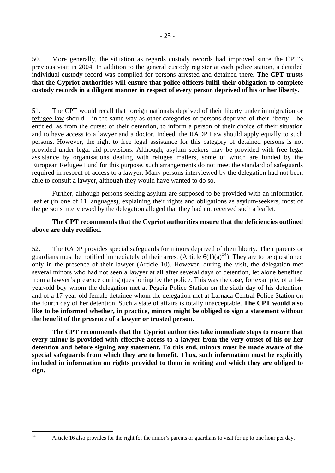50. More generally, the situation as regards custody records had improved since the CPT's previous visit in 2004. In addition to the general custody register at each police station, a detailed individual custody record was compiled for persons arrested and detained there. **The CPT trusts that the Cypriot authorities will ensure that police officers fulfil their obligation to complete custody records in a diligent manner in respect of every person deprived of his or her liberty.** 

51. The CPT would recall that foreign nationals deprived of their liberty under immigration or refugee law should – in the same way as other categories of persons deprived of their liberty – be entitled, as from the outset of their detention, to inform a person of their choice of their situation and to have access to a lawyer and a doctor. Indeed, the RADP Law should apply equally to such persons. However, the right to free legal assistance for this category of detained persons is not provided under legal aid provisions. Although, asylum seekers may be provided with free legal assistance by organisations dealing with refugee matters, some of which are funded by the European Refugee Fund for this purpose, such arrangements do not meet the standard of safeguards required in respect of access to a lawyer. Many persons interviewed by the delegation had not been able to consult a lawyer, although they would have wanted to do so.

Further, although persons seeking asylum are supposed to be provided with an information leaflet (in one of 11 languages), explaining their rights and obligations as asylum-seekers, most of the persons interviewed by the delegation alleged that they had not received such a leaflet.

## **The CPT recommends that the Cypriot authorities ensure that the deficiencies outlined above are duly rectified.**

52. The RADP provides special safeguards for minors deprived of their liberty. Their parents or guardians must be notified immediately of their arrest (Article  $6(1)(a)^{34}$  $6(1)(a)^{34}$  $6(1)(a)^{34}$ ). They are to be questioned only in the presence of their lawyer (Article 10). However, during the visit, the delegation met several minors who had not seen a lawyer at all after several days of detention, let alone benefited from a lawyer's presence during questioning by the police. This was the case, for example, of a 14 year-old boy whom the delegation met at Pegeia Police Station on the sixth day of his detention, and of a 17-year-old female detainee whom the delegation met at Larnaca Central Police Station on the fourth day of her detention. Such a state of affairs is totally unacceptable. **The CPT would also like to be informed whether, in practice, minors might be obliged to sign a statement without the benefit of the presence of a lawyer or trusted person.**

**The CPT recommends that the Cypriot authorities take immediate steps to ensure that every minor is provided with effective access to a lawyer from the very outset of his or her detention and before signing any statement. To this end, minors must be made aware of the special safeguards from which they are to benefit. Thus, such information must be explicitly included in information on rights provided to them in writing and which they are obliged to sign.** 

<span id="page-24-0"></span>Article 16 also provides for the right for the minor's parents or guardians to visit for up to one hour per day.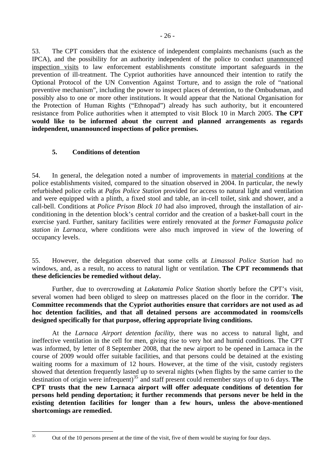<span id="page-25-0"></span>53. The CPT considers that the existence of independent complaints mechanisms (such as the IPCA), and the possibility for an authority independent of the police to conduct unannounced inspection visits to law enforcement establishments constitute important safeguards in the prevention of ill-treatment. The Cypriot authorities have announced their intention to ratify the Optional Protocol of the UN Convention Against Torture, and to assign the role of "national preventive mechanism", including the power to inspect places of detention, to the Ombudsman, and possibly also to one or more other institutions. It would appear that the National Organisation for the Protection of Human Rights ("Ethnopad") already has such authority, but it encountered resistance from Police authorities when it attempted to visit Block 10 in March 2005. **The CPT would like to be informed about the current and planned arrangements as regards independent, unannounced inspections of police premises.** 

## **5. Conditions of detention**

54. In general, the delegation noted a number of improvements in material conditions at the police establishments visited, compared to the situation observed in 2004. In particular, the newly refurbished police cells at *Pafos Police Station* provided for access to natural light and ventilation and were equipped with a plinth, a fixed stool and table, an in-cell toilet, sink and shower, and a call-bell. Conditions at *Police Prison Block 10* had also improved, through the installation of airconditioning in the detention block's central corridor and the creation of a basket-ball court in the exercise yard. Further, sanitary facilities were entirely renovated at the *former Famagusta police station in Larnaca*, where conditions were also much improved in view of the lowering of occupancy levels.

55. However, the delegation observed that some cells at *Limassol Police Station* had no windows, and, as a result, no access to natural light or ventilation. **The CPT recommends that these deficiencies be remedied without delay.** 

Further, due to overcrowding at *Lakatamia Police Station* shortly before the CPT's visit, several women had been obliged to sleep on mattresses placed on the floor in the corridor. **The Committee recommends that the Cypriot authorities ensure that corridors are not used as ad hoc detention facilities, and that all detained persons are accommodated in rooms/cells designed specifically for that purpose, offering appropriate living conditions.**

 At the *Larnaca Airport detention facility*, there was no access to natural light, and ineffective ventilation in the cell for men, giving rise to very hot and humid conditions. The CPT was informed, by letter of 8 September 2008, that the new airport to be opened in Larnaca in the course of 2009 would offer suitable facilities, and that persons could be detained at the existing waiting rooms for a maximum of 12 hours. However, at the time of the visit, custody registers showed that detention frequently lasted up to several nights (when flights by the same carrier to the destination of origin were infrequent)<sup>[35](#page-25-1)</sup> and staff present could remember stays of up to 6 days. **The CPT trusts that the new Larnaca airport will offer adequate conditions of detention for persons held pending deportation; it further recommends that persons never be held in the existing detention facilities for longer than a few hours, unless the above-mentioned shortcomings are remedied.**

<span id="page-25-1"></span> $35$ 

Out of the 10 persons present at the time of the visit, five of them would be staying for four days.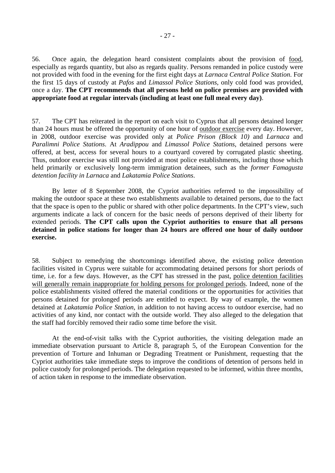56. Once again, the delegation heard consistent complaints about the provision of food, especially as regards quantity, but also as regards quality. Persons remanded in police custody were not provided with food in the evening for the first eight days at *Larnaca Central Police Station*. For the first 15 days of custody at *Pafos* and *Limassol Police Stations*, only cold food was provided, once a day. **The CPT recommends that all persons held on police premises are provided with appropriate food at regular intervals (including at least one full meal every day)**.

57. The CPT has reiterated in the report on each visit to Cyprus that all persons detained longer than 24 hours must be offered the opportunity of one hour of outdoor exercise every day. However, in 2008, outdoor exercise was provided only at *Police Prison (Block 10)* and *Larnaca* and *Paralimni Police Stations*. At *Aradippou* and *Limassol Police Stations*, detained persons were offered, at best, access for several hours to a courtyard covered by corrugated plastic sheeting. Thus, outdoor exercise was still not provided at most police establishments, including those which held primarily or exclusively long-term immigration detainees, such as the *former Famagusta detention facility in Larnaca* and *Lakatamia Police Stations*.

By letter of 8 September 2008, the Cypriot authorities referred to the impossibility of making the outdoor space at these two establishments available to detained persons, due to the fact that the space is open to the public or shared with other police departments. In the CPT's view, such arguments indicate a lack of concern for the basic needs of persons deprived of their liberty for extended periods. **The CPT calls upon the Cypriot authorities to ensure that all persons detained in police stations for longer than 24 hours are offered one hour of daily outdoor exercise.**

58. Subject to remedying the shortcomings identified above, the existing police detention facilities visited in Cyprus were suitable for accommodating detained persons for short periods of time, i.e. for a few days. However, as the CPT has stressed in the past, police detention facilities will generally remain inappropriate for holding persons for prolonged periods. Indeed, none of the police establishments visited offered the material conditions or the opportunities for activities that persons detained for prolonged periods are entitled to expect. By way of example, the women detained at *Lakatamia Police Station*, in addition to not having access to outdoor exercise, had no activities of any kind, nor contact with the outside world. They also alleged to the delegation that the staff had forcibly removed their radio some time before the visit.

 At the end-of-visit talks with the Cypriot authorities, the visiting delegation made an immediate observation pursuant to Article 8, paragraph 5, of the European Convention for the prevention of Torture and Inhuman or Degrading Treatment or Punishment, requesting that the Cypriot authorities take immediate steps to improve the conditions of detention of persons held in police custody for prolonged periods. The delegation requested to be informed, within three months, of action taken in response to the immediate observation.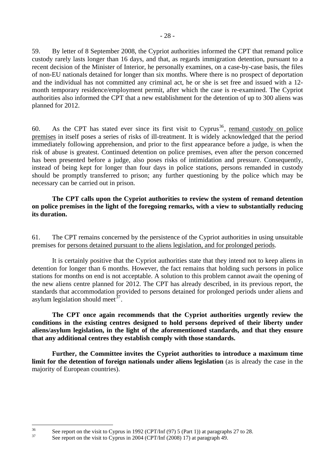59. By letter of 8 September 2008, the Cypriot authorities informed the CPT that remand police custody rarely lasts longer than 16 days, and that, as regards immigration detention, pursuant to a recent decision of the Minister of Interior, he personally examines, on a case-by-case basis, the files of non-EU nationals detained for longer than six months. Where there is no prospect of deportation and the individual has not committed any criminal act, he or she is set free and issued with a 12 month temporary residence/employment permit, after which the case is re-examined. The Cypriot authorities also informed the CPT that a new establishment for the detention of up to 300 aliens was planned for 2012.

60. As the CPT has stated ever since its first visit to Cyprus<sup>[36](#page-27-0)</sup>, remand custody on police premises in itself poses a series of risks of ill-treatment. It is widely acknowledged that the period immediately following apprehension, and prior to the first appearance before a judge, is when the risk of abuse is greatest. Continued detention on police premises, even after the person concerned has been presented before a judge, also poses risks of intimidation and pressure. Consequently, instead of being kept for longer than four days in police stations, persons remanded in custody should be promptly transferred to prison; any further questioning by the police which may be necessary can be carried out in prison.

**The CPT calls upon the Cypriot authorities to review the system of remand detention on police premises in the light of the foregoing remarks, with a view to substantially reducing its duration.**

61. The CPT remains concerned by the persistence of the Cypriot authorities in using unsuitable premises for persons detained pursuant to the aliens legislation, and for prolonged periods.

It is certainly positive that the Cypriot authorities state that they intend not to keep aliens in detention for longer than 6 months. However, the fact remains that holding such persons in police stations for months on end is not acceptable. A solution to this problem cannot await the opening of the new aliens centre planned for 2012. The CPT has already described, in its previous report, the standards that accommodation provided to persons detained for prolonged periods under aliens and asylum legislation should meet<sup>[37](#page-27-1)</sup>.

**The CPT once again recommends that the Cypriot authorities urgently review the conditions in the existing centres designed to hold persons deprived of their liberty under aliens/asylum legislation, in the light of the aforementioned standards, and that they ensure that any additional centres they establish comply with those standards.** 

**Further, the Committee invites the Cypriot authorities to introduce a maximum time**  limit for the detention of foreign nationals under aliens legislation (as is already the case in the majority of European countries).

<span id="page-27-1"></span><span id="page-27-0"></span> $36$ <sup>36</sup> See report on the visit to Cyprus in 1992 (CPT/Inf (97) 5 (Part 1)) at paragraphs 27 to 28.

See report on the visit to Cyprus in 2004 (CPT/Inf (2008) 17) at paragraph 49.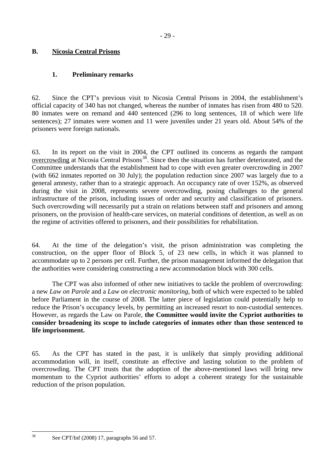## <span id="page-28-0"></span>**B. Nicosia Central Prisons**

## **1. Preliminary remarks**

62. Since the CPT's previous visit to Nicosia Central Prisons in 2004, the establishment's official capacity of 340 has not changed, whereas the number of inmates has risen from 480 to 520. 80 inmates were on remand and 440 sentenced (296 to long sentences, 18 of which were life sentences); 27 inmates were women and 11 were juveniles under 21 years old. About 54% of the prisoners were foreign nationals.

63. In its report on the visit in 2004, the CPT outlined its concerns as regards the rampant overcrowding at Nicosia Central Prisons<sup>[38](#page-28-1)</sup>. Since then the situation has further deteriorated, and the Committee understands that the establishment had to cope with even greater overcrowding in 2007 (with 662 inmates reported on 30 July); the population reduction since 2007 was largely due to a general amnesty, rather than to a strategic approach. An occupancy rate of over 152%, as observed during the visit in 2008, represents severe overcrowding, posing challenges to the general infrastructure of the prison, including issues of order and security and classification of prisoners. Such overcrowding will necessarily put a strain on relations between staff and prisoners and among prisoners, on the provision of health-care services, on material conditions of detention, as well as on the regime of activities offered to prisoners, and their possibilities for rehabilitation.

64. At the time of the delegation's visit, the prison administration was completing the construction, on the upper floor of Block 5, of 23 new cells, in which it was planned to accommodate up to 2 persons per cell. Further, the prison management informed the delegation that the authorities were considering constructing a new accommodation block with 300 cells.

The CPT was also informed of other new initiatives to tackle the problem of overcrowding: a new *Law on Parole* and a *Law on electronic monitoring*, both of which were expected to be tabled before Parliament in the course of 2008. The latter piece of legislation could potentially help to reduce the Prison's occupancy levels, by permitting an increased resort to non-custodial sentences. However, as regards the Law on Parole, **the Committee would invite the Cypriot authorities to consider broadening its scope to include categories of inmates other than those sentenced to life imprisonment.**

65. As the CPT has stated in the past, it is unlikely that simply providing additional accommodation will, in itself, constitute an effective and lasting solution to the problem of overcrowding. The CPT trusts that the adoption of the above-mentioned laws will bring new momentum to the Cypriot authorities' efforts to adopt a coherent strategy for the sustainable reduction of the prison population.

<span id="page-28-1"></span> $38$ 

See CPT/Inf (2008) 17, paragraphs 56 and 57.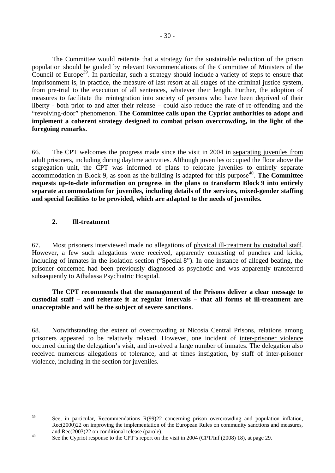<span id="page-29-0"></span>The Committee would reiterate that a strategy for the sustainable reduction of the prison population should be guided by relevant Recommendations of the Committee of Ministers of the Council of Europe<sup>[39](#page-29-1)</sup>. In particular, such a strategy should include a variety of steps to ensure that imprisonment is, in practice, the measure of last resort at all stages of the criminal justice system, from pre-trial to the execution of all sentences, whatever their length. Further, the adoption of measures to facilitate the reintegration into society of persons who have been deprived of their liberty - both prior to and after their release – could also reduce the rate of re-offending and the "revolving-door" phenomenon. **The Committee calls upon the Cypriot authorities to adopt and implement a coherent strategy designed to combat prison overcrowding, in the light of the foregoing remarks.**

66. The CPT welcomes the progress made since the visit in 2004 in separating juveniles from adult prisoners, including during daytime activities. Although juveniles occupied the floor above the segregation unit, the CPT was informed of plans to relocate juveniles to entirely separate accommodation in Block 9, as soon as the building is adapted for this purpose<sup>[40](#page-29-2)</sup>. **The Committee requests up-to-date information on progress in the plans to transform Block 9 into entirely separate accommodation for juveniles, including details of the services, mixed-gender staffing and special facilities to be provided, which are adapted to the needs of juveniles.**

## **2. Ill-treatment**

67. Most prisoners interviewed made no allegations of physical ill-treatment by custodial staff. However, a few such allegations were received, apparently consisting of punches and kicks, including of inmates in the isolation section ("Special 8"). In one instance of alleged beating, the prisoner concerned had been previously diagnosed as psychotic and was apparently transferred subsequently to Athalassa Psychiatric Hospital.

**The CPT recommends that the management of the Prisons deliver a clear message to custodial staff – and reiterate it at regular intervals – that all forms of ill-treatment are unacceptable and will be the subject of severe sanctions.**

68. Notwithstanding the extent of overcrowding at Nicosia Central Prisons, relations among prisoners appeared to be relatively relaxed. However, one incident of inter-prisoner violence occurred during the delegation's visit, and involved a large number of inmates. The delegation also received numerous allegations of tolerance, and at times instigation, by staff of inter-prisoner violence, including in the section for juveniles.

<span id="page-29-1"></span> $39$ See, in particular, Recommendations R(99)22 concerning prison overcrowding and population inflation, Rec(2000)22 on improving the implementation of the European Rules on community sanctions and measures, and Rec(2003)22 on conditional release (parole).<br><sup>40</sup> See the Cypriot response to the CPT's report on the visit in 2004 (CPT/Inf (2008) 18), at page 29.

<span id="page-29-2"></span>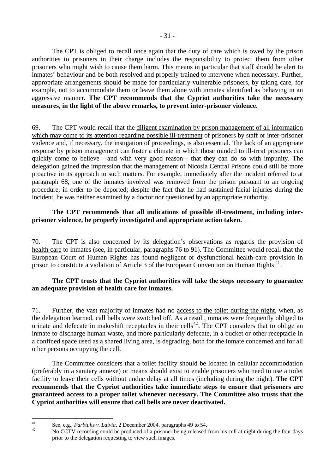The CPT is obliged to recall once again that the duty of care which is owed by the prison authorities to prisoners in their charge includes the responsibility to protect them from other prisoners who might wish to cause them harm. This means in particular that staff should be alert to inmates' behaviour and be both resolved and properly trained to intervene when necessary. Further, appropriate arrangements should be made for particularly vulnerable prisoners, by taking care, for example, not to accommodate them or leave them alone with inmates identified as behaving in an aggressive manner. **The CPT recommends that the Cypriot authorities take the necessary measures, in the light of the above remarks, to prevent inter-prisoner violence.**

69. The CPT would recall that the diligent examination by prison management of all information which may come to its attention regarding possible ill-treatment of prisoners by staff or inter-prisoner violence and, if necessary, the instigation of proceedings, is also essential. The lack of an appropriate response by prison management can foster a climate in which those minded to ill-treat prisoners can quickly come to believe – and with very good reason – that they can do so with impunity. The delegation gained the impression that the management of Nicosia Central Prisons could still be more proactive in its approach to such matters. For example, immediately after the incident referred to at paragraph 68, one of the inmates involved was removed from the prison pursuant to an ongoing procedure, in order to be deported; despite the fact that he had sustained facial injuries during the incident, he was neither examined by a doctor nor questioned by an appropriate authority.

### **The CPT recommends that all indications of possible ill-treatment, including interprisoner violence, be properly investigated and appropriate action taken.**

70. The CPT is also concerned by its delegation's observations as regards the provision of health care to inmates (see, in particular, paragraphs 76 to 91). The Committee would recall that the European Court of Human Rights has found negligent or dysfunctional health-care provision in prison to constitute a violation of Article 3 of the European Convention on Human Rights<sup>[41](#page-30-0)</sup>.

### **The CPT trusts that the Cypriot authorities will take the steps necessary to guarantee an adequate provision of health care for inmates.**

71. Further, the vast majority of inmates had no access to the toilet during the night, when, as the delegation learned, call bells were switched off. As a result, inmates were frequently obliged to urinate and defecate in makeshift receptacles in their cells<sup>[42](#page-30-1)</sup>. The CPT considers that to oblige an inmate to discharge human waste, and more particularly defecate, in a bucket or other receptacle in a confined space used as a shared living area, is degrading, both for the inmate concerned and for all other persons occupying the cell.

 The Committee considers that a toilet facility should be located in cellular accommodation (preferably in a sanitary annexe) or means should exist to enable prisoners who need to use a toilet facility to leave their cells without undue delay at all times (including during the night). **The CPT recommends that the Cypriot authorities take immediate steps to ensure that prisoners are guaranteed access to a proper toilet whenever necessary. The Committee also trusts that the Cypriot authorities will ensure that call bells are never deactivated.** 

 $41$ 

<span id="page-30-1"></span><span id="page-30-0"></span><sup>&</sup>lt;sup>41</sup> See, e.g., *Farbtuhs v. Latvia*, 2 December 2004, paragraphs 49 to 54.<br><sup>42</sup> No CCTV recording could be produced of a prisoner being released from his cell at night during the four days prior to the delegation requesting to view such images.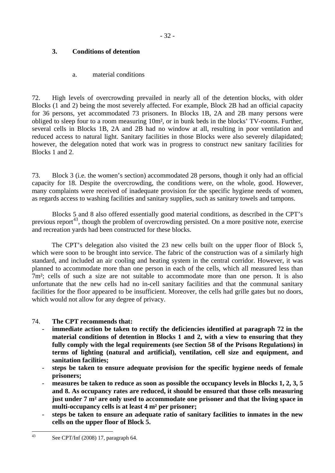# <span id="page-31-0"></span>**3. Conditions of detention**

## a. material conditions

72. High levels of overcrowding prevailed in nearly all of the detention blocks, with older Blocks (1 and 2) being the most severely affected. For example, Block 2B had an official capacity for 36 persons, yet accommodated 73 prisoners. In Blocks 1B, 2A and 2B many persons were obliged to sleep four to a room measuring 10m², or in bunk beds in the blocks' TV-rooms. Further, several cells in Blocks 1B, 2A and 2B had no window at all, resulting in poor ventilation and reduced access to natural light. Sanitary facilities in those Blocks were also severely dilapidated; however, the delegation noted that work was in progress to construct new sanitary facilities for Blocks 1 and 2.

73. Block 3 (i.e. the women's section) accommodated 28 persons, though it only had an official capacity for 18. Despite the overcrowding, the conditions were, on the whole, good. However, many complaints were received of inadequate provision for the specific hygiene needs of women, as regards access to washing facilities and sanitary supplies, such as sanitary towels and tampons.

Blocks 5 and 8 also offered essentially good material conditions, as described in the CPT's previous report<sup>[43](#page-31-1)</sup>, though the problem of overcrowding persisted. On a more positive note, exercise and recreation yards had been constructed for these blocks.

The CPT's delegation also visited the 23 new cells built on the upper floor of Block 5, which were soon to be brought into service. The fabric of the construction was of a similarly high standard, and included an air cooling and heating system in the central corridor. However, it was planned to accommodate more than one person in each of the cells, which all measured less than 7m²; cells of such a size are not suitable to accommodate more than one person. It is also unfortunate that the new cells had no in-cell sanitary facilities and that the communal sanitary facilities for the floor appeared to be insufficient. Moreover, the cells had grille gates but no doors, which would not allow for any degree of privacy.

# 74. **The CPT recommends that:**

- immediate action be taken to rectify the deficiencies identified at paragraph 72 in the **material conditions of detention in Blocks 1 and 2, with a view to ensuring that they fully comply with the legal requirements (see Section 58 of the Prisons Regulations) in terms of lighting (natural and artificial), ventilation, cell size and equipment, and sanitation facilities;**
- **steps be taken to ensure adequate provision for the specific hygiene needs of female prisoners;**
- measures be taken to reduce as soon as possible the occupancy levels in Blocks 1, 2, 3, 5 **and 8. As occupancy rates are reduced, it should be ensured that those cells measuring just under 7 m² are only used to accommodate one prisoner and that the living space in multi-occupancy cells is at least 4 m² per prisoner;**
- <span id="page-31-1"></span>- **steps be taken to ensure an adequate ratio of sanitary facilities to inmates in the new cells on the upper floor of Block 5.**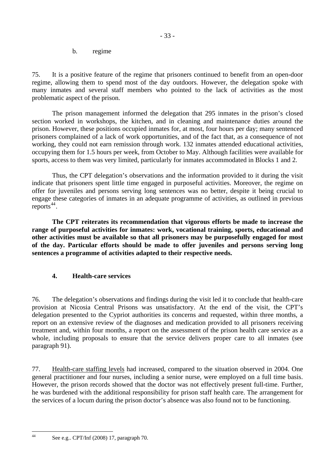b. regime

<span id="page-32-0"></span>75. It is a positive feature of the regime that prisoners continued to benefit from an open-door regime, allowing them to spend most of the day outdoors. However, the delegation spoke with many inmates and several staff members who pointed to the lack of activities as the most problematic aspect of the prison.

The prison management informed the delegation that 295 inmates in the prison's closed section worked in workshops, the kitchen, and in cleaning and maintenance duties around the prison. However, these positions occupied inmates for, at most, four hours per day; many sentenced prisoners complained of a lack of work opportunities, and of the fact that, as a consequence of not working, they could not earn remission through work. 132 inmates attended educational activities, occupying them for 1.5 hours per week, from October to May. Although facilities were available for sports, access to them was very limited, particularly for inmates accommodated in Blocks 1 and 2.

Thus, the CPT delegation's observations and the information provided to it during the visit indicate that prisoners spent little time engaged in purposeful activities. Moreover, the regime on offer for juveniles and persons serving long sentences was no better, despite it being crucial to engage these categories of inmates in an adequate programme of activities, as outlined in previous reports $44$ .

**The CPT reiterates its recommendation that vigorous efforts be made to increase the range of purposeful activities for inmates: work, vocational training, sports, educational and other activities must be available so that all prisoners may be purposefully engaged for most of the day. Particular efforts should be made to offer juveniles and persons serving long sentences a programme of activities adapted to their respective needs.** 

## **4. Health-care services**

76. The delegation's observations and findings during the visit led it to conclude that health-care provision at Nicosia Central Prisons was unsatisfactory. At the end of the visit, the CPT's delegation presented to the Cypriot authorities its concerns and requested, within three months, a report on an extensive review of the diagnoses and medication provided to all prisoners receiving treatment and, within four months, a report on the assessment of the prison health care service as a whole, including proposals to ensure that the service delivers proper care to all inmates (see paragraph 91).

77. Health-care staffing levels had increased, compared to the situation observed in 2004. One general practitioner and four nurses, including a senior nurse, were employed on a full time basis. However, the prison records showed that the doctor was not effectively present full-time. Further, he was burdened with the additional responsibility for prison staff health care. The arrangement for the services of a locum during the prison doctor's absence was also found not to be functioning.

<span id="page-32-1"></span> $44$ 

See e.g.. CPT/Inf (2008) 17, paragraph 70.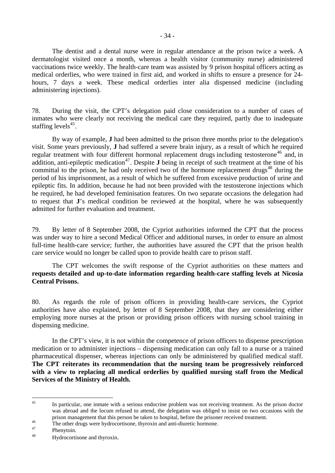The dentist and a dental nurse were in regular attendance at the prison twice a week. A dermatologist visited once a month, whereas a health visitor (community nurse) administered vaccinations twice weekly. The health-care team was assisted by 9 prison hospital officers acting as medical orderlies, who were trained in first aid, and worked in shifts to ensure a presence for 24 hours, 7 days a week. These medical orderlies inter alia dispensed medicine (including administering injections).

78. During the visit, the CPT's delegation paid close consideration to a number of cases of inmates who were clearly not receiving the medical care they required, partly due to inadequate staffing levels<sup>[45](#page-33-0)</sup>.

By way of example, **J** had been admitted to the prison three months prior to the delegation's visit. Some years previously, **J** had suffered a severe brain injury, as a result of which he required regular treatment with four different hormonal replacement drugs including testosterone<sup>[46](#page-33-1)</sup> and, in addition, anti-epileptic medication<sup>[47](#page-33-2)</sup>. Despite **J** being in receipt of such treatment at the time of his committal to the prison, he had only received two of the hormone replacement drugs $48$  during the period of his imprisonment, as a result of which he suffered from excessive production of urine and epileptic fits. In addition, because he had not been provided with the testosterone injections which he required, he had developed feminisation features. On two separate occasions the delegation had to request that **J**'s medical condition be reviewed at the hospital, where he was subsequently admitted for further evaluation and treatment.

79. By letter of 8 September 2008, the Cypriot authorities informed the CPT that the process was under way to hire a second Medical Officer and additional nurses, in order to ensure an almost full-time health-care service; further, the authorities have assured the CPT that the prison health care service would no longer be called upon to provide health care to prison staff.

The CPT welcomes the swift response of the Cypriot authorities on these matters and **requests detailed and up-to-date information regarding health-care staffing levels at Nicosia Central Prisons.** 

80. As regards the role of prison officers in providing health-care services, the Cypriot authorities have also explained, by letter of 8 September 2008, that they are considering either employing more nurses at the prison or providing prison officers with nursing school training in dispensing medicine.

In the CPT's view, it is not within the competence of prison officers to dispense prescription medication or to administer injections – dispensing medication can only fall to a nurse or a trained pharmaceutical dispenser, whereas injections can only be administered by qualified medical staff. **The CPT reiterates its recommendation that the nursing team be progressively reinforced with a view to replacing all medical orderlies by qualified nursing staff from the Medical Services of the Ministry of Health.**

<span id="page-33-0"></span> $45$ In particular, one inmate with a serious endocrine problem was not receiving treatment. As the prison doctor was abroad and the locum refused to attend, the delegation was obliged to insist on two occasions with the prison management that this person be taken to hospital, before the prisoner received treatment.<br>The other drugs were hydrocortisone, thyroxin and anti-diuretic hormone.

<span id="page-33-1"></span>Phenytoin.

<span id="page-33-3"></span><span id="page-33-2"></span><sup>48</sup> Hydrocortisone and thyroxin.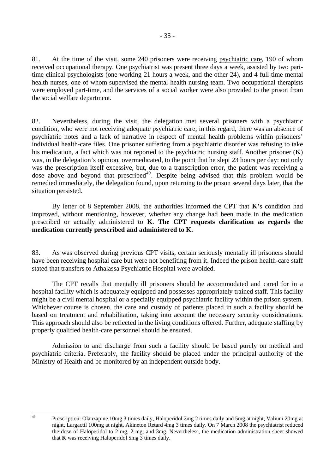81. At the time of the visit, some 240 prisoners were receiving psychiatric care, 190 of whom received occupational therapy. One psychiatrist was present three days a week, assisted by two parttime clinical psychologists (one working 21 hours a week, and the other 24), and 4 full-time mental health nurses, one of whom supervised the mental health nursing team. Two occupational therapists were employed part-time, and the services of a social worker were also provided to the prison from the social welfare department.

82. Nevertheless, during the visit, the delegation met several prisoners with a psychiatric condition, who were not receiving adequate psychiatric care; in this regard, there was an absence of psychiatric notes and a lack of narrative in respect of mental health problems within prisoners' individual health-care files. One prisoner suffering from a psychiatric disorder was refusing to take his medication, a fact which was not reported to the psychiatric nursing staff. Another prisoner (**K**) was, in the delegation's opinion, overmedicated, to the point that he slept 23 hours per day: not only was the prescription itself excessive, but, due to a transcription error, the patient was receiving a dose above and beyond that prescribed<sup>[49](#page-34-0)</sup>. Despite being advised that this problem would be remedied immediately, the delegation found, upon returning to the prison several days later, that the situation persisted.

By letter of 8 September 2008, the authorities informed the CPT that **K**'s condition had improved, without mentioning, however, whether any change had been made in the medication prescribed or actually administered to **K**. **The CPT requests clarification as regards the medication currently prescribed and administered to K.** 

83. As was observed during previous CPT visits, certain seriously mentally ill prisoners should have been receiving hospital care but were not benefiting from it. Indeed the prison health-care staff stated that transfers to Athalassa Psychiatric Hospital were avoided.

The CPT recalls that mentally ill prisoners should be accommodated and cared for in a hospital facility which is adequately equipped and possesses appropriately trained staff. This facility might be a civil mental hospital or a specially equipped psychiatric facility within the prison system. Whichever course is chosen, the care and custody of patients placed in such a facility should be based on treatment and rehabilitation, taking into account the necessary security considerations. This approach should also be reflected in the living conditions offered. Further, adequate staffing by properly qualified health-care personnel should be ensured.

Admission to and discharge from such a facility should be based purely on medical and psychiatric criteria. Preferably, the facility should be placed under the principal authority of the Ministry of Health and be monitored by an independent outside body.

<span id="page-34-0"></span> $\overline{49}$ 49 Prescription: Olanzapine 10mg 3 times daily, Haloperidol 2mg 2 times daily and 5mg at night, Valium 20mg at night, Largactil 100mg at night, Akineton Retard 4mg 3 times daily. On 7 March 2008 the psychiatrist reduced the dose of Haloperidol to 2 mg, 2 mg, and 3mg. Nevertheless, the medication administration sheet showed that **K** was receiving Haloperidol 5mg 3 times daily.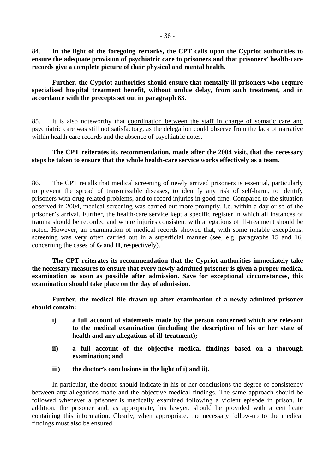**Further, the Cypriot authorities should ensure that mentally ill prisoners who require specialised hospital treatment benefit, without undue delay, from such treatment, and in accordance with the precepts set out in paragraph 83.**

85. It is also noteworthy that coordination between the staff in charge of somatic care and psychiatric care was still not satisfactory, as the delegation could observe from the lack of narrative within health care records and the absence of psychiatric notes.

### **The CPT reiterates its recommendation, made after the 2004 visit, that the necessary steps be taken to ensure that the whole health-care service works effectively as a team.**

86. The CPT recalls that medical screening of newly arrived prisoners is essential, particularly to prevent the spread of transmissible diseases, to identify any risk of self-harm, to identify prisoners with drug-related problems, and to record injuries in good time. Compared to the situation observed in 2004, medical screening was carried out more promptly, i.e. within a day or so of the prisoner's arrival. Further, the health-care service kept a specific register in which all instances of trauma should be recorded and where injuries consistent with allegations of ill-treatment should be noted. However, an examination of medical records showed that, with some notable exceptions, screening was very often carried out in a superficial manner (see, e.g. paragraphs 15 and 16, concerning the cases of **G** and **H**, respectively).

**The CPT reiterates its recommendation that the Cypriot authorities immediately take the necessary measures to ensure that every newly admitted prisoner is given a proper medical examination as soon as possible after admission. Save for exceptional circumstances, this examination should take place on the day of admission.** 

**Further, the medical file drawn up after examination of a newly admitted prisoner should contain:** 

- **i) a full account of statements made by the person concerned which are relevant to the medical examination (including the description of his or her state of health and any allegations of ill-treatment);**
- **ii) a full account of the objective medical findings based on a thorough examination; and**
- **iii) the doctor's conclusions in the light of i) and ii).**

In particular, the doctor should indicate in his or her conclusions the degree of consistency between any allegations made and the objective medical findings. The same approach should be followed whenever a prisoner is medically examined following a violent episode in prison. In addition, the prisoner and, as appropriate, his lawyer, should be provided with a certificate containing this information. Clearly, when appropriate, the necessary follow-up to the medical findings must also be ensured.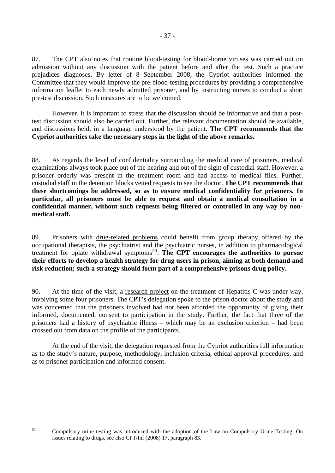87. The CPT also notes that routine blood-testing for blood-borne viruses was carried out on admission without any discussion with the patient before and after the test. Such a practice prejudices diagnoses. By letter of 8 September 2008, the Cypriot authorities informed the Committee that they would improve the pre-blood-testing procedures by providing a comprehensive information leaflet to each newly admitted prisoner, and by instructing nurses to conduct a short pre-test discussion. Such measures are to be welcomed.

However, it is important to stress that the discussion should be informative and that a posttest discussion should also be carried out. Further, the relevant documentation should be available, and discussions held, in a language understood by the patient. **The CPT recommends that the Cypriot authorities take the necessary steps in the light of the above remarks.** 

88. As regards the level of confidentiality surrounding the medical care of prisoners, medical examinations always took place out of the hearing and out of the sight of custodial staff. However, a prisoner orderly was present in the treatment room and had access to medical files. Further, custodial staff in the detention blocks vetted requests to see the doctor. **The CPT recommends that these shortcomings be addressed, so as to ensure medical confidentiality for prisoners. In particular, all prisoners must be able to request and obtain a medical consultation in a confidential manner, without such requests being filtered or controlled in any way by nonmedical staff.** 

89. Prisoners with drug-related problems could benefit from group therapy offered by the occupational therapists, the psychiatrist and the psychiatric nurses, in addition to pharmacological treatment for opiate withdrawal symptoms[50](#page-36-0). **The CPT encourages the authorities to pursue their efforts to develop a health strategy for drug users in prison, aiming at both demand and risk reduction; such a strategy should form part of a comprehensive prisons drug policy.** 

90. At the time of the visit, a research project on the treatment of Hepatitis C was under way, involving some four prisoners. The CPT's delegation spoke to the prison doctor about the study and was concerned that the prisoners involved had not been afforded the opportunity of giving their informed, documented, consent to participation in the study. Further, the fact that three of the prisoners had a history of psychiatric illness – which may be an exclusion criterion – had been crossed out from data on the profile of the participants.

At the end of the visit, the delegation requested from the Cypriot authorities full information as to the study's nature, purpose, methodology, inclusion criteria, ethical approval procedures, and as to prisoner participation and informed consent.

<span id="page-36-0"></span> $50$ 

<sup>50</sup> Compulsory urine testing was introduced with the adoption of the Law on Compulsory Urine Testing. On issues relating to drugs, see also CPT/Inf (2008) 17, paragraph 83.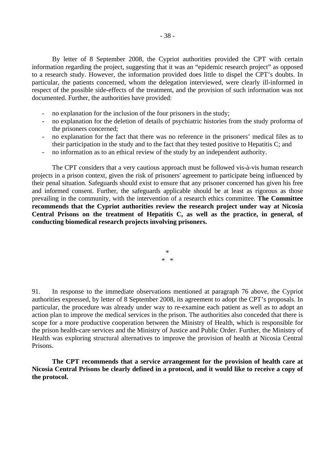By letter of 8 September 2008, the Cypriot authorities provided the CPT with certain information regarding the project, suggesting that it was an "epidemic research project" as opposed to a research study. However, the information provided does little to dispel the CPT's doubts. In particular, the patients concerned, whom the delegation interviewed, were clearly ill-informed in respect of the possible side-effects of the treatment, and the provision of such information was not documented. Further, the authorities have provided:

- no explanation for the inclusion of the four prisoners in the study;
- no explanation for the deletion of details of psychiatric histories from the study proforma of the prisoners concerned;
- no explanation for the fact that there was no reference in the prisoners' medical files as to their participation in the study and to the fact that they tested positive to Hepatitis C; and
- no information as to an ethical review of the study by an independent authority.

 The CPT considers that a very cautious approach must be followed vis-à-vis human research projects in a prison context, given the risk of prisoners' agreement to participate being influenced by their penal situation. Safeguards should exist to ensure that any prisoner concerned has given his free and informed consent. Further, the safeguards applicable should be at least as rigorous as those prevailing in the community, with the intervention of a research ethics committee. **The Committee recommends that the Cypriot authorities review the research project under way at Nicosia Central Prisons on the treatment of Hepatitis C, as well as the practice, in general, of conducting biomedical research projects involving prisoners.**

> \* \* \*

91. In response to the immediate observations mentioned at paragraph 76 above, the Cypriot authorities expressed, by letter of 8 September 2008, its agreement to adopt the CPT's proposals. In particular, the procedure was already under way to re-examine each patient as well as to adopt an action plan to improve the medical services in the prison. The authorities also conceded that there is scope for a more productive cooperation between the Ministry of Health, which is responsible for the prison health-care services and the Ministry of Justice and Public Order. Further, the Ministry of Health was exploring structural alternatives to improve the provision of health at Nicosia Central Prisons.

**The CPT recommends that a service arrangement for the provision of health care at Nicosia Central Prisons be clearly defined in a protocol, and it would like to receive a copy of the protocol.**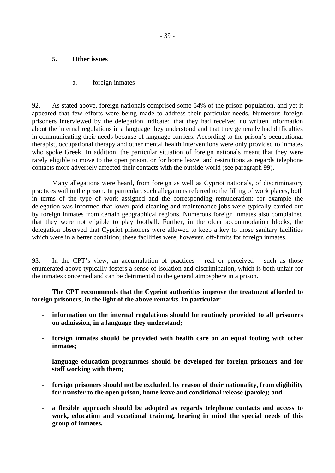## **5. Other issues**

## a. foreign inmates

92. As stated above, foreign nationals comprised some 54% of the prison population, and yet it appeared that few efforts were being made to address their particular needs. Numerous foreign prisoners interviewed by the delegation indicated that they had received no written information about the internal regulations in a language they understood and that they generally had difficulties in communicating their needs because of language barriers. According to the prison's occupational therapist, occupational therapy and other mental health interventions were only provided to inmates who spoke Greek. In addition, the particular situation of foreign nationals meant that they were rarely eligible to move to the open prison, or for home leave, and restrictions as regards telephone contacts more adversely affected their contacts with the outside world (see paragraph 99).

Many allegations were heard, from foreign as well as Cypriot nationals, of discriminatory practices within the prison. In particular, such allegations referred to the filling of work places, both in terms of the type of work assigned and the corresponding remuneration; for example the delegation was informed that lower paid cleaning and maintenance jobs were typically carried out by foreign inmates from certain geographical regions. Numerous foreign inmates also complained that they were not eligible to play football. Further, in the older accommodation blocks, the delegation observed that Cypriot prisoners were allowed to keep a key to those sanitary facilities which were in a better condition; these facilities were, however, off-limits for foreign inmates.

93. In the CPT's view, an accumulation of practices – real or perceived – such as those enumerated above typically fosters a sense of isolation and discrimination, which is both unfair for the inmates concerned and can be detrimental to the general atmosphere in a prison.

**The CPT recommends that the Cypriot authorities improve the treatment afforded to foreign prisoners, in the light of the above remarks. In particular:** 

- information on the internal regulations should be routinely provided to all prisoners **on admission, in a language they understand;**
- **foreign inmates should be provided with health care on an equal footing with other inmates;**
- language education programmes should be developed for foreign prisoners and for **staff working with them;**
- **foreign prisoners should not be excluded, by reason of their nationality, from eligibility for transfer to the open prison, home leave and conditional release (parole); and**
- **a flexible approach should be adopted as regards telephone contacts and access to work, education and vocational training, bearing in mind the special needs of this group of inmates.**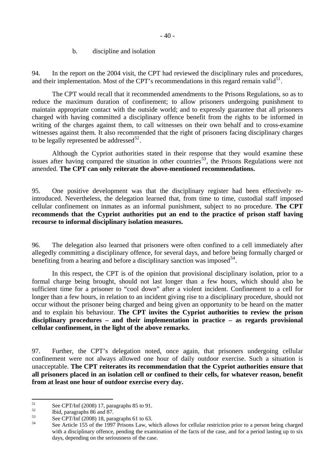b. discipline and isolation

94. In the report on the 2004 visit, the CPT had reviewed the disciplinary rules and procedures, and their implementation. Most of the CPT's recommendations in this regard remain valid $5<sup>1</sup>$ .

The CPT would recall that it recommended amendments to the Prisons Regulations, so as to reduce the maximum duration of confinement; to allow prisoners undergoing punishment to maintain appropriate contact with the outside world; and to expressly guarantee that all prisoners charged with having committed a disciplinary offence benefit from the rights to be informed in writing of the charges against them, to call witnesses on their own behalf and to cross-examine witnesses against them. It also recommended that the right of prisoners facing disciplinary charges to be legally represented be addressed $^{52}$  $^{52}$  $^{52}$ .

Although the Cypriot authorities stated in their response that they would examine these issues after having compared the situation in other countries<sup>[53](#page-39-2)</sup>, the Prisons Regulations were not amended. **The CPT can only reiterate the above-mentioned recommendations.** 

95. One positive development was that the disciplinary register had been effectively reintroduced. Nevertheless, the delegation learned that, from time to time, custodial staff imposed cellular confinement on inmates as an informal punishment, subject to no procedure. **The CPT recommends that the Cypriot authorities put an end to the practice of prison staff having recourse to informal disciplinary isolation measures.** 

96. The delegation also learned that prisoners were often confined to a cell immediately after allegedly committing a disciplinary offence, for several days, and before being formally charged or benefiting from a hearing and before a disciplinary sanction was imposed  $54$ .

In this respect, the CPT is of the opinion that provisional disciplinary isolation, prior to a formal charge being brought, should not last longer than a few hours, which should also be sufficient time for a prisoner to "cool down" after a violent incident. Confinement to a cell for longer than a few hours, in relation to an incident giving rise to a disciplinary procedure, should not occur without the prisoner being charged and being given an opportunity to be heard on the matter and to explain his behaviour. **The CPT invites the Cypriot authorities to review the prison disciplinary procedures – and their implementation in practice – as regards provisional cellular confinement, in the light of the above remarks.** 

97. Further, the CPT's delegation noted, once again, that prisoners undergoing cellular confinement were not always allowed one hour of daily outdoor exercise. Such a situation is unacceptable. **The CPT reiterates its recommendation that the Cypriot authorities ensure that all prisoners placed in an isolation cell or confined to their cells, for whatever reason, benefit from at least one hour of outdoor exercise every day.** 

<span id="page-39-0"></span> $51$  $51$  See CPT/Inf (2008) 17, paragraphs 85 to 91.

<span id="page-39-1"></span> $^{52}$  Ibid, paragraphs 86 and 87.

<span id="page-39-3"></span><span id="page-39-2"></span> $53$  See CPT/Inf (2008) 18, paragraphs 61 to 63.

See Article 155 of the 1997 Prisons Law, which allows for cellular restriction prior to a person being charged with a disciplinary offence, pending the examination of the facts of the case, and for a period lasting up to six days, depending on the seriousness of the case.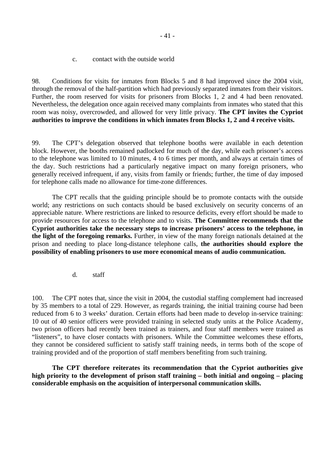c. contact with the outside world

98. Conditions for visits for inmates from Blocks 5 and 8 had improved since the 2004 visit, through the removal of the half-partition which had previously separated inmates from their visitors. Further, the room reserved for visits for prisoners from Blocks 1, 2 and 4 had been renovated. Nevertheless, the delegation once again received many complaints from inmates who stated that this room was noisy, overcrowded, and allowed for very little privacy. **The CPT invites the Cypriot authorities to improve the conditions in which inmates from Blocks 1, 2 and 4 receive visits.** 

99. The CPT's delegation observed that telephone booths were available in each detention block. However, the booths remained padlocked for much of the day, while each prisoner's access to the telephone was limited to 10 minutes, 4 to 6 times per month, and always at certain times of the day. Such restrictions had a particularly negative impact on many foreign prisoners, who generally received infrequent, if any, visits from family or friends; further, the time of day imposed for telephone calls made no allowance for time-zone differences.

The CPT recalls that the guiding principle should be to promote contacts with the outside world; any restrictions on such contacts should be based exclusively on security concerns of an appreciable nature. Where restrictions are linked to resource deficits, every effort should be made to provide resources for access to the telephone and to visits. **The Committee recommends that the Cypriot authorities take the necessary steps to increase prisoners' access to the telephone, in the light of the foregoing remarks.** Further, in view of the many foreign nationals detained at the prison and needing to place long-distance telephone calls, **the authorities should explore the possibility of enabling prisoners to use more economical means of audio communication.**

d. staff

100. The CPT notes that, since the visit in 2004, the custodial staffing complement had increased by 35 members to a total of 229. However, as regards training, the initial training course had been reduced from 6 to 3 weeks' duration. Certain efforts had been made to develop in-service training: 10 out of 40 senior officers were provided training in selected study units at the Police Academy, two prison officers had recently been trained as trainers, and four staff members were trained as "listeners", to have closer contacts with prisoners. While the Committee welcomes these efforts, they cannot be considered sufficient to satisfy staff training needs, in terms both of the scope of training provided and of the proportion of staff members benefiting from such training.

**The CPT therefore reiterates its recommendation that the Cypriot authorities give high priority to the development of prison staff training – both initial and ongoing – placing considerable emphasis on the acquisition of interpersonal communication skills.**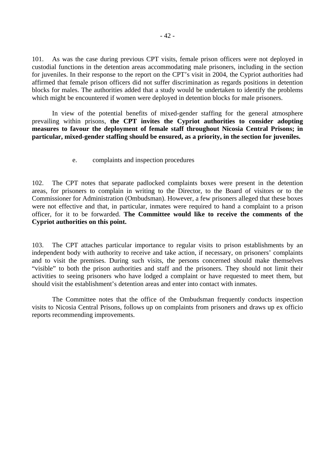101. As was the case during previous CPT visits, female prison officers were not deployed in custodial functions in the detention areas accommodating male prisoners, including in the section for juveniles. In their response to the report on the CPT's visit in 2004, the Cypriot authorities had affirmed that female prison officers did not suffer discrimination as regards positions in detention blocks for males. The authorities added that a study would be undertaken to identify the problems which might be encountered if women were deployed in detention blocks for male prisoners.

In view of the potential benefits of mixed-gender staffing for the general atmosphere prevailing within prisons, **the CPT invites the Cypriot authorities to consider adopting measures to favour the deployment of female staff throughout Nicosia Central Prisons; in particular, mixed-gender staffing should be ensured, as a priority, in the section for juveniles.**

e. complaints and inspection procedures

102. The CPT notes that separate padlocked complaints boxes were present in the detention areas, for prisoners to complain in writing to the Director, to the Board of visitors or to the Commissioner for Administration (Ombudsman). However, a few prisoners alleged that these boxes were not effective and that, in particular, inmates were required to hand a complaint to a prison officer, for it to be forwarded. **The Committee would like to receive the comments of the Cypriot authorities on this point.**

103. The CPT attaches particular importance to regular visits to prison establishments by an independent body with authority to receive and take action, if necessary, on prisoners' complaints and to visit the premises. During such visits, the persons concerned should make themselves "visible" to both the prison authorities and staff and the prisoners. They should not limit their activities to seeing prisoners who have lodged a complaint or have requested to meet them, but should visit the establishment's detention areas and enter into contact with inmates.

The Committee notes that the office of the Ombudsman frequently conducts inspection visits to Nicosia Central Prisons, follows up on complaints from prisoners and draws up ex officio reports recommending improvements.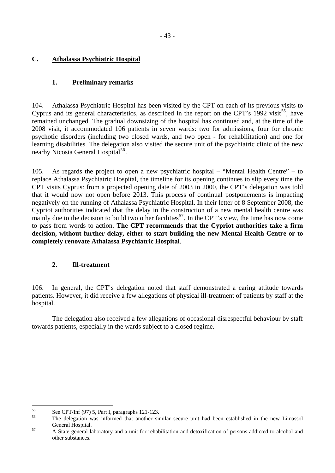# **C. Athalassa Psychiatric Hospital**

## **1. Preliminary remarks**

104. Athalassa Psychiatric Hospital has been visited by the CPT on each of its previous visits to Cyprus and its general characteristics, as described in the report on the CPT's 1992 visit<sup>[55](#page-42-0)</sup>, have remained unchanged. The gradual downsizing of the hospital has continued and, at the time of the 2008 visit, it accommodated 106 patients in seven wards: two for admissions, four for chronic psychotic disorders (including two closed wards, and two open - for rehabilitation) and one for learning disabilities. The delegation also visited the secure unit of the psychiatric clinic of the new nearby Nicosia General Hospital<sup>[56](#page-42-1)</sup>.

105. As regards the project to open a new psychiatric hospital – "Mental Health Centre" – to replace Athalassa Psychiatric Hospital, the timeline for its opening continues to slip every time the CPT visits Cyprus: from a projected opening date of 2003 in 2000, the CPT's delegation was told that it would now not open before 2013. This process of continual postponements is impacting negatively on the running of Athalassa Psychiatric Hospital. In their letter of 8 September 2008, the Cypriot authorities indicated that the delay in the construction of a new mental health centre was mainly due to the decision to build two other facilities<sup>[57](#page-42-2)</sup>. In the CPT's view, the time has now come to pass from words to action. **The CPT recommends that the Cypriot authorities take a firm decision, without further delay, either to start building the new Mental Health Centre or to completely renovate Athalassa Psychiatric Hospital**.

## **2. Ill-treatment**

106. In general, the CPT's delegation noted that staff demonstrated a caring attitude towards patients. However, it did receive a few allegations of physical ill-treatment of patients by staff at the hospital.

 The delegation also received a few allegations of occasional disrespectful behaviour by staff towards patients, especially in the wards subject to a closed regime.

<span id="page-42-0"></span><sup>55</sup>  $55$  See CPT/Inf (97) 5, Part I, paragraphs 121-123.

<sup>56</sup> The delegation was informed that another similar secure unit had been established in the new Limassol

<span id="page-42-2"></span><span id="page-42-1"></span>General Hospital.<br>
A State general laboratory and a unit for rehabilitation and detoxification of persons addicted to alcohol and other substances.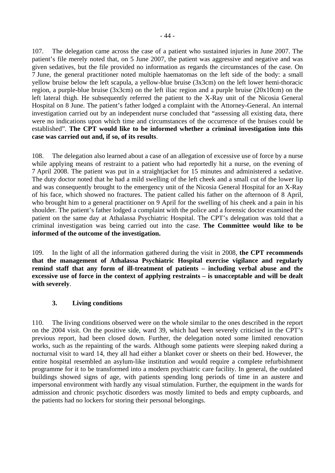107. The delegation came across the case of a patient who sustained injuries in June 2007. The patient's file merely noted that, on 5 June 2007, the patient was aggressive and negative and was given sedatives, but the file provided no information as regards the circumstances of the case. On 7 June, the general practitioner noted multiple haematomas on the left side of the body: a small yellow bruise below the left scapula, a yellow-blue bruise (3x3cm) on the left lower hemi-thoracic region, a purple-blue bruise (3x3cm) on the left iliac region and a purple bruise (20x10cm) on the left lateral thigh. He subsequently referred the patient to the X-Ray unit of the Nicosia General Hospital on 8 June. The patient's father lodged a complaint with the Attorney-General. An internal investigation carried out by an independent nurse concluded that "assessing all existing data, there were no indications upon which time and circumstances of the occurrence of the bruises could be established". **The CPT would like to be informed whether a criminal investigation into this case was carried out and, if so, of its results**.

108. The delegation also learned about a case of an allegation of excessive use of force by a nurse while applying means of restraint to a patient who had reportedly hit a nurse, on the evening of 7 April 2008. The patient was put in a straightjacket for 15 minutes and administered a sedative. The duty doctor noted that he had a mild swelling of the left cheek and a small cut of the lower lip and was consequently brought to the emergency unit of the Nicosia General Hospital for an X-Ray of his face, which showed no fractures. The patient called his father on the afternoon of 8 April, who brought him to a general practitioner on 9 April for the swelling of his cheek and a pain in his shoulder. The patient's father lodged a complaint with the police and a forensic doctor examined the patient on the same day at Athalassa Psychiatric Hospital. The CPT's delegation was told that a criminal investigation was being carried out into the case. **The Committee would like to be informed of the outcome of the investigation.**

109. In the light of all the information gathered during the visit in 2008, **the CPT recommends that the management of Athalassa Psychiatric Hospital exercise vigilance and regularly remind staff that any form of ill-treatment of patients – including verbal abuse and the excessive use of force in the context of applying restraints – is unacceptable and will be dealt with severely**.

## **3. Living conditions**

110. The living conditions observed were on the whole similar to the ones described in the report on the 2004 visit. On the positive side, ward 39, which had been severely criticised in the CPT's previous report, had been closed down. Further, the delegation noted some limited renovation works, such as the repainting of the wards. Although some patients were sleeping naked during a nocturnal visit to ward 14, they all had either a blanket cover or sheets on their bed. However, the entire hospital resembled an asylum-like institution and would require a complete refurbishment programme for it to be transformed into a modern psychiatric care facility. In general, the outdated buildings showed signs of age, with patients spending long periods of time in an austere and impersonal environment with hardly any visual stimulation. Further, the equipment in the wards for admission and chronic psychotic disorders was mostly limited to beds and empty cupboards, and the patients had no lockers for storing their personal belongings.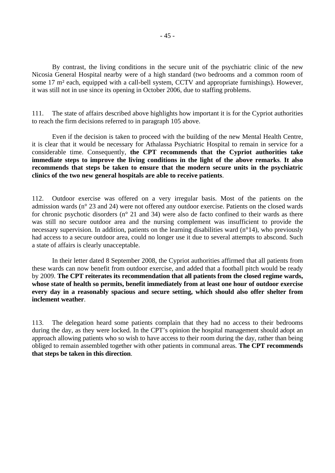By contrast, the living conditions in the secure unit of the psychiatric clinic of the new Nicosia General Hospital nearby were of a high standard (two bedrooms and a common room of some 17 m<sup>2</sup> each, equipped with a call-bell system, CCTV and appropriate furnishings). However, it was still not in use since its opening in October 2006, due to staffing problems.

111. The state of affairs described above highlights how important it is for the Cypriot authorities to reach the firm decisions referred to in paragraph 105 above.

Even if the decision is taken to proceed with the building of the new Mental Health Centre, it is clear that it would be necessary for Athalassa Psychiatric Hospital to remain in service for a considerable time. Consequently, **the CPT recommends that the Cypriot authorities take immediate steps to improve the living conditions in the light of the above remarks**. **It also recommends that steps be taken to ensure that the modern secure units in the psychiatric clinics of the two new general hospitals are able to receive patients**.

112. Outdoor exercise was offered on a very irregular basis. Most of the patients on the admission wards (n° 23 and 24) were not offered any outdoor exercise. Patients on the closed wards for chronic psychotic disorders (n° 21 and 34) were also de facto confined to their wards as there was still no secure outdoor area and the nursing complement was insufficient to provide the necessary supervision. In addition, patients on the learning disabilities ward (n°14), who previously had access to a secure outdoor area, could no longer use it due to several attempts to abscond. Such a state of affairs is clearly unacceptable.

In their letter dated 8 September 2008, the Cypriot authorities affirmed that all patients from these wards can now benefit from outdoor exercise, and added that a football pitch would be ready by 2009. **The CPT reiterates its recommendation that all patients from the closed regime wards, whose state of health so permits, benefit immediately from at least one hour of outdoor exercise every day in a reasonably spacious and secure setting, which should also offer shelter from inclement weather**.

113. The delegation heard some patients complain that they had no access to their bedrooms during the day, as they were locked. In the CPT's opinion the hospital management should adopt an approach allowing patients who so wish to have access to their room during the day, rather than being obliged to remain assembled together with other patients in communal areas. **The CPT recommends that steps be taken in this direction**.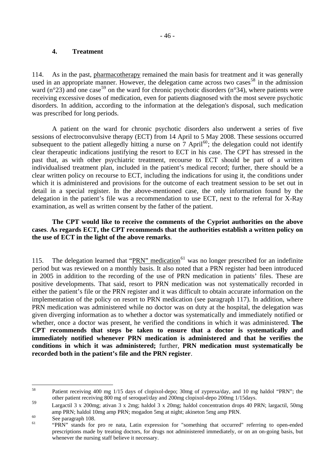## **4. Treatment**

114. As in the past, pharmacotherapy remained the main basis for treatment and it was generally used in an appropriate manner. However, the delegation came across two cases  $58$  in the admission ward (n°23) and one case<sup>[59](#page-45-1)</sup> on the ward for chronic psychotic disorders (n°34), where patients were receiving excessive doses of medication, even for patients diagnosed with the most severe psychotic disorders. In addition, according to the information at the delegation's disposal, such medication was prescribed for long periods.

A patient on the ward for chronic psychotic disorders also underwent a series of five sessions of electroconvulsive therapy (ECT) from 14 April to 5 May 2008. These sessions occurred subsequent to the patient allegedly hitting a nurse on  $7$  April<sup>[60](#page-45-2)</sup>; the delegation could not identify clear therapeutic indications justifying the resort to ECT in his case. The CPT has stressed in the past that, as with other psychiatric treatment, recourse to ECT should be part of a written individualised treatment plan, included in the patient's medical record; further, there should be a clear written policy on recourse to ECT, including the indications for using it, the conditions under which it is administered and provisions for the outcome of each treatment session to be set out in detail in a special register. In the above-mentioned case, the only information found by the delegation in the patient's file was a recommendation to use ECT, next to the referral for X-Ray examination, as well as written consent by the father of the patient.

## **The CPT would like to receive the comments of the Cypriot authorities on the above cases**. **As regards ECT, the CPT recommends that the authorities establish a written policy on the use of ECT in the light of the above remarks**.

115. The delegation learned that "PRN" medication<sup>[61](#page-45-3)</sup> was no longer prescribed for an indefinite period but was reviewed on a monthly basis. It also noted that a PRN register had been introduced in 2005 in addition to the recording of the use of PRN medication in patients' files. These are positive developments. That said, resort to PRN medication was not systematically recorded in either the patient's file or the PRN register and it was difficult to obtain accurate information on the implementation of the policy on resort to PRN medication (see paragraph 117). In addition, where PRN medication was administered while no doctor was on duty at the hospital, the delegation was given diverging information as to whether a doctor was systematically and immediately notified or whether, once a doctor was present, he verified the conditions in which it was administered. **The CPT recommends that steps be taken to ensure that a doctor is systematically and immediately notified whenever PRN medication is administered and that he verifies the conditions in which it was administered;** further, **PRN medication must systematically be recorded both in the patient's file and the PRN register**.

<span id="page-45-0"></span><sup>58</sup> 58 Patient receiving 400 mg 1/15 days of clopixol-depo; 30mg of zyprexa/day, and 10 mg haldol "PRN"; the other patient receiving 800 mg of seroquel/day and 200mg clopixol-depo 200mg 1/15days.

<span id="page-45-1"></span><sup>59</sup> Largactil 3 x 200mg; ativan 3 x 2mg; haldol 3 x 20mg; haldol concentration drops 40 PRN; largactil, 50mg amp PRN; haldol 10mg amp PRN; mogadon 5mg at night; akineton 5mg amp PRN.<br>
See paragraph 108.<br>
60 See paragraph 108.

<span id="page-45-2"></span>

<span id="page-45-3"></span><sup>61 &</sup>quot;PRN" stands for pro re nata, Latin expression for "something that occurred" referring to open-ended prescriptions made by treating doctors, for drugs not administered immediately, or on an on-going basis, but whenever the nursing staff believe it necessary.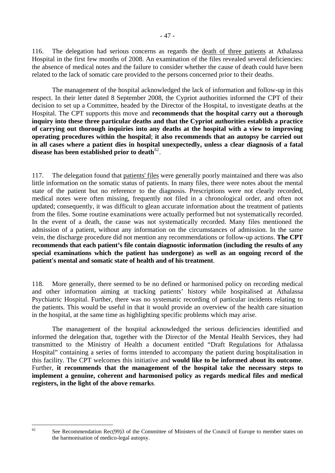116. The delegation had serious concerns as regards the death of three patients at Athalassa Hospital in the first few months of 2008. An examination of the files revealed several deficiencies: the absence of medical notes and the failure to consider whether the cause of death could have been related to the lack of somatic care provided to the persons concerned prior to their deaths.

The management of the hospital acknowledged the lack of information and follow-up in this respect. In their letter dated 8 September 2008, the Cypriot authorities informed the CPT of their decision to set up a Committee, headed by the Director of the Hospital, to investigate deaths at the Hospital. The CPT supports this move and **recommends that the hospital carry out a thorough inquiry into these three particular deaths and that the Cypriot authorities establish a practice of carrying out thorough inquiries into any deaths at the hospital with a view to improving operating procedures within the hospital**; **it also recommends that an autopsy be carried out in all cases where a patient dies in hospital unexpectedly, unless a clear diagnosis of a fatal disease has been established prior to death**[62](#page-46-0).

117. The delegation found that patients' files were generally poorly maintained and there was also little information on the somatic status of patients. In many files, there were notes about the mental state of the patient but no reference to the diagnosis. Prescriptions were not clearly recorded, medical notes were often missing, frequently not filed in a chronological order, and often not updated; consequently, it was difficult to glean accurate information about the treatment of patients from the files. Some routine examinations were actually performed but not systematically recorded. In the event of a death, the cause was not systematically recorded. Many files mentioned the admission of a patient, without any information on the circumstances of admission. In the same vein, the discharge procedure did not mention any recommendations or follow-up actions. **The CPT recommends that each patient's file contain diagnostic information (including the results of any special examinations which the patient has undergone) as well as an ongoing record of the patient's mental and somatic state of health and of his treatment**.

118. More generally, there seemed to be no defined or harmonised policy on recording medical and other information aiming at tracking patients' history while hospitalised at Athalassa Psychiatric Hospital. Further, there was no systematic recording of particular incidents relating to the patients. This would be useful in that it would provide an overview of the health care situation in the hospital, at the same time as highlighting specific problems which may arise.

 The management of the hospital acknowledged the serious deficiencies identified and informed the delegation that, together with the Director of the Mental Health Services, they had transmitted to the Ministry of Health a document entitled "Draft Regulations for Athalassa Hospital" containing a series of forms intended to accompany the patient during hospitalisation in this facility. The CPT welcomes this initiative and **would like to be informed about its outcome**. Further, **it recommends that the management of the hospital take the necessary steps to implement a genuine, coherent and harmonised policy as regards medical files and medical registers, in the light of the above remarks**.

<span id="page-46-0"></span> $62$ 

See Recommendation Rec(99)3 of the Committee of Ministers of the Council of Europe to member states on the harmonisation of medico-legal autopsy.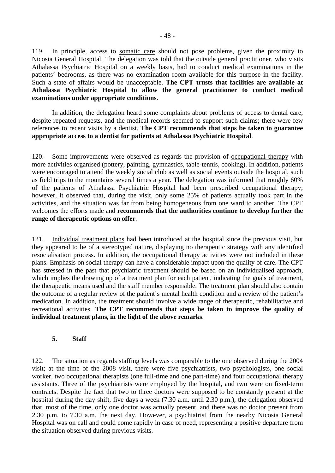119. In principle, access to somatic care should not pose problems, given the proximity to Nicosia General Hospital. The delegation was told that the outside general practitioner, who visits Athalassa Psychiatric Hospital on a weekly basis, had to conduct medical examinations in the patients' bedrooms, as there was no examination room available for this purpose in the facility. Such a state of affairs would be unacceptable. **The CPT trusts that facilities are available at Athalassa Psychiatric Hospital to allow the general practitioner to conduct medical examinations under appropriate conditions**.

 In addition, the delegation heard some complaints about problems of access to dental care, despite repeated requests, and the medical records seemed to support such claims; there were few references to recent visits by a dentist. **The CPT recommends that steps be taken to guarantee appropriate access to a dentist for patients at Athalassa Psychiatric Hospital**.

120. Some improvements were observed as regards the provision of occupational therapy with more activities organised (pottery, painting, gymnastics, table-tennis, cooking). In addition, patients were encouraged to attend the weekly social club as well as social events outside the hospital, such as field trips to the mountains several times a year. The delegation was informed that roughly 60% of the patients of Athalassa Psychiatric Hospital had been prescribed occupational therapy; however, it observed that, during the visit, only some 25% of patients actually took part in the activities, and the situation was far from being homogeneous from one ward to another. The CPT welcomes the efforts made and **recommends that the authorities continue to develop further the range of therapeutic options on offer**.

121. Individual treatment plans had been introduced at the hospital since the previous visit, but they appeared to be of a stereotyped nature, displaying no therapeutic strategy with any identified resocialisation process. In addition, the occupational therapy activities were not included in these plans. Emphasis on social therapy can have a considerable impact upon the quality of care. The CPT has stressed in the past that psychiatric treatment should be based on an individualised approach, which implies the drawing up of a treatment plan for each patient, indicating the goals of treatment, the therapeutic means used and the staff member responsible. The treatment plan should also contain the outcome of a regular review of the patient's mental health condition and a review of the patient's medication. In addition, the treatment should involve a wide range of therapeutic, rehabilitative and recreational activities. **The CPT recommends that steps be taken to improve the quality of individual treatment plans, in the light of the above remarks**.

## **5. Staff**

122. The situation as regards staffing levels was comparable to the one observed during the 2004 visit; at the time of the 2008 visit, there were five psychiatrists, two psychologists, one social worker, two occupational therapists (one full-time and one part-time) and four occupational therapy assistants. Three of the psychiatrists were employed by the hospital, and two were on fixed-term contracts. Despite the fact that two to three doctors were supposed to be constantly present at the hospital during the day shift, five days a week (7.30 a.m. until 2.30 p.m.), the delegation observed that, most of the time, only one doctor was actually present, and there was no doctor present from 2.30 p.m. to 7.30 a.m. the next day. However, a psychiatrist from the nearby Nicosia General Hospital was on call and could come rapidly in case of need, representing a positive departure from the situation observed during previous visits.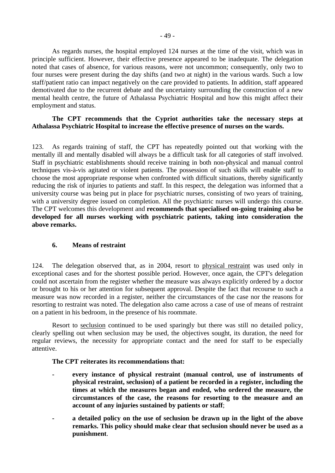As regards nurses, the hospital employed 124 nurses at the time of the visit, which was in principle sufficient. However, their effective presence appeared to be inadequate. The delegation noted that cases of absence, for various reasons, were not uncommon; consequently, only two to four nurses were present during the day shifts (and two at night) in the various wards. Such a low staff/patient ratio can impact negatively on the care provided to patients. In addition, staff appeared demotivated due to the recurrent debate and the uncertainty surrounding the construction of a new mental health centre, the future of Athalassa Psychiatric Hospital and how this might affect their employment and status.

## **The CPT recommends that the Cypriot authorities take the necessary steps at Athalassa Psychiatric Hospital to increase the effective presence of nurses on the wards.**

123. As regards training of staff, the CPT has repeatedly pointed out that working with the mentally ill and mentally disabled will always be a difficult task for all categories of staff involved. Staff in psychiatric establishments should receive training in both non-physical and manual control techniques vis-à-vis agitated or violent patients. The possession of such skills will enable staff to choose the most appropriate response when confronted with difficult situations, thereby significantly reducing the risk of injuries to patients and staff. In this respect, the delegation was informed that a university course was being put in place for psychiatric nurses, consisting of two years of training, with a university degree issued on completion. All the psychiatric nurses will undergo this course. The CPT welcomes this development and **recommends that specialised on-going training also be developed for all nurses working with psychiatric patients, taking into consideration the above remarks.**

## **6. Means of restraint**

124. The delegation observed that, as in 2004, resort to physical restraint was used only in exceptional cases and for the shortest possible period. However, once again, the CPT's delegation could not ascertain from the register whether the measure was always explicitly ordered by a doctor or brought to his or her attention for subsequent approval. Despite the fact that recourse to such a measure was now recorded in a register, neither the circumstances of the case nor the reasons for resorting to restraint was noted. The delegation also came across a case of use of means of restraint on a patient in his bedroom, in the presence of his roommate.

 Resort to seclusion continued to be used sparingly but there was still no detailed policy, clearly spelling out when seclusion may be used, the objectives sought, its duration, the need for regular reviews, the necessity for appropriate contact and the need for staff to be especially attentive.

## **The CPT reiterates its recommendations that:**

- **every instance of physical restraint (manual control, use of instruments of physical restraint, seclusion) of a patient be recorded in a register, including the times at which the measures began and ended, who ordered the measure, the circumstances of the case, the reasons for resorting to the measure and an account of any injuries sustained by patients or staff**;
- **a detailed policy on the use of seclusion be drawn up in the light of the above remarks. This policy should make clear that seclusion should never be used as a punishment**.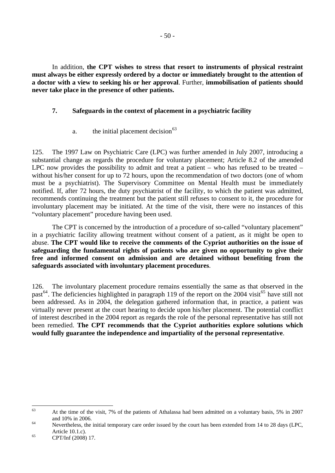In addition, **the CPT wishes to stress that resort to instruments of physical restraint must always be either expressly ordered by a doctor or immediately brought to the attention of a doctor with a view to seeking his or her approval**. Further, **immobilisation of patients should never take place in the presence of other patients.** 

## **7. Safeguards in the context of placement in a psychiatric facility**

a. the initial placement decision $63$ 

125. The 1997 Law on Psychiatric Care (LPC) was further amended in July 2007, introducing a substantial change as regards the procedure for voluntary placement; Article 8.2 of the amended LPC now provides the possibility to admit and treat a patient – who has refused to be treated – without his/her consent for up to 72 hours, upon the recommendation of two doctors (one of whom must be a psychiatrist). The Supervisory Committee on Mental Health must be immediately notified. If, after 72 hours, the duty psychiatrist of the facility, to which the patient was admitted, recommends continuing the treatment but the patient still refuses to consent to it, the procedure for involuntary placement may be initiated. At the time of the visit, there were no instances of this "voluntary placement" procedure having been used.

The CPT is concerned by the introduction of a procedure of so-called "voluntary placement" in a psychiatric facility allowing treatment without consent of a patient, as it might be open to abuse. **The CPT would like to receive the comments of the Cypriot authorities on the issue of safeguarding the fundamental rights of patients who are given no opportunity to give their free and informed consent on admission and are detained without benefiting from the safeguards associated with involuntary placement procedures**.

126. The involuntary placement procedure remains essentially the same as that observed in the past<sup>[64](#page-49-1)</sup>. The deficiencies highlighted in paragraph 119 of the report on the 2004 visit<sup>[65](#page-49-2)</sup> have still not been addressed. As in 2004, the delegation gathered information that, in practice, a patient was virtually never present at the court hearing to decide upon his/her placement. The potential conflict of interest described in the 2004 report as regards the role of the personal representative has still not been remedied. **The CPT recommends that the Cypriot authorities explore solutions which would fully guarantee the independence and impartiality of the personal representative**.

<span id="page-49-0"></span><sup>63</sup> 63 At the time of the visit, 7% of the patients of Athalassa had been admitted on a voluntary basis, 5% in 2007

<span id="page-49-1"></span>and 10% in 2006.<br>Nevertheless, the initial temporary care order issued by the court has been extended from 14 to 28 days (LPC,

<span id="page-49-2"></span><sup>65</sup> Article 10.1.c).<br>CPT/Inf (2008) 17.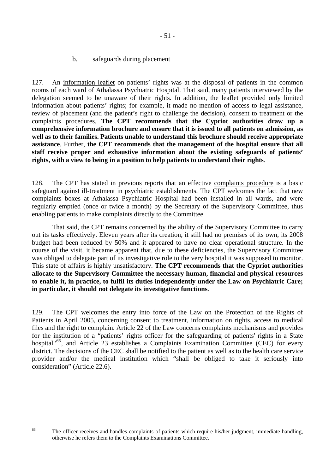b. safeguards during placement

127. An information leaflet on patients' rights was at the disposal of patients in the common rooms of each ward of Athalassa Psychiatric Hospital. That said, many patients interviewed by the delegation seemed to be unaware of their rights. In addition, the leaflet provided only limited information about patients' rights; for example, it made no mention of access to legal assistance, review of placement (and the patient's right to challenge the decision), consent to treatment or the complaints procedures. **The CPT recommends that the Cypriot authorities draw up a comprehensive information brochure and ensure that it is issued to all patients on admission, as well as to their families. Patients unable to understand this brochure should receive appropriate assistance**. Further, **the CPT recommends that the management of the hospital ensure that all staff receive proper and exhaustive information about the existing safeguards of patients' rights, with a view to being in a position to help patients to understand their rights**.

128. The CPT has stated in previous reports that an effective complaints procedure is a basic safeguard against ill-treatment in psychiatric establishments. The CPT welcomes the fact that new complaints boxes at Athalassa Psychiatric Hospital had been installed in all wards, and were regularly emptied (once or twice a month) by the Secretary of the Supervisory Committee, thus enabling patients to make complaints directly to the Committee.

 That said, the CPT remains concerned by the ability of the Supervisory Committee to carry out its tasks effectively. Eleven years after its creation, it still had no premises of its own, its 2008 budget had been reduced by 50% and it appeared to have no clear operational structure. In the course of the visit, it became apparent that, due to these deficiencies, the Supervisory Committee was obliged to delegate part of its investigative role to the very hospital it was supposed to monitor. This state of affairs is highly unsatisfactory. **The CPT recommends that the Cypriot authorities allocate to the Supervisory Committee the necessary human, financial and physical resources to enable it, in practice, to fulfil its duties independently under the Law on Psychiatric Care; in particular, it should not delegate its investigative functions**.

129. The CPT welcomes the entry into force of the Law on the Protection of the Rights of Patients in April 2005, concerning consent to treatment, information on rights, access to medical files and the right to complain. Article 22 of the Law concerns complaints mechanisms and provides for the institution of a "patients' rights officer for the safeguarding of patients' rights in a State hospital"<sup>[66](#page-50-0)</sup>, and Article 23 establishes a Complaints Examination Committee (CEC) for every district. The decisions of the CEC shall be notified to the patient as well as to the health care service provider and/or the medical institution which "shall be obliged to take it seriously into consideration" (Article 22.6).

<span id="page-50-0"></span><sup>66</sup> 

The officer receives and handles complaints of patients which require his/her judgment, immediate handling, otherwise he refers them to the Complaints Examinations Committee.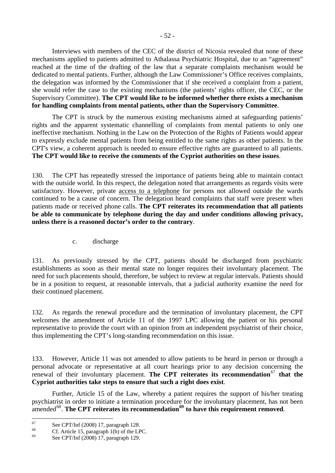Interviews with members of the CEC of the district of Nicosia revealed that none of these mechanisms applied to patients admitted to Athalassa Psychiatric Hospital, due to an "agreement" reached at the time of the drafting of the law that a separate complaints mechanism would be dedicated to mental patients. Further, although the Law Commissioner's Office receives complaints, the delegation was informed by the Commissioner that if she received a complaint from a patient, she would refer the case to the existing mechanisms (the patients' rights officer, the CEC, or the Supervisory Committee). **The CPT would like to be informed whether there exists a mechanism for handling complaints from mental patients, other than the Supervisory Committee**.

The CPT is struck by the numerous existing mechanisms aimed at safeguarding patients' rights and the apparent systematic channelling of complaints from mental patients to only one ineffective mechanism. Nothing in the Law on the Protection of the Rights of Patients would appear to expressly exclude mental patients from being entitled to the same rights as other patients. In the CPT's view, a coherent approach is needed to ensure effective rights are guaranteed to all patients. **The CPT would like to receive the comments of the Cypriot authorities on these issues**.

130. The CPT has repeatedly stressed the importance of patients being able to maintain contact with the outside world. In this respect, the delegation noted that arrangements as regards visits were satisfactory. However, private access to a telephone for persons not allowed outside the wards continued to be a cause of concern. The delegation heard complaints that staff were present when patients made or received phone calls. **The CPT reiterates its recommendation that all patients be able to communicate by telephone during the day and under conditions allowing privacy, unless there is a reasoned doctor's order to the contrary**.

c. discharge

131. As previously stressed by the CPT, patients should be discharged from psychiatric establishments as soon as their mental state no longer requires their involuntary placement. The need for such placements should, therefore, be subject to review at regular intervals. Patients should be in a position to request, at reasonable intervals, that a judicial authority examine the need for their continued placement.

132. As regards the renewal procedure and the termination of involuntary placement, the CPT welcomes the amendment of Article 11 of the 1997 LPC allowing the patient or his personal representative to provide the court with an opinion from an independent psychiatrist of their choice, thus implementing the CPT's long-standing recommendation on this issue.

133. However, Article 11 was not amended to allow patients to be heard in person or through a personal advocate or representative at all court hearings prior to any decision concerning the renewal of their involuntary placement. The CPT reiterates its recommendation<sup>[67](#page-51-0)</sup> that the **Cypriot authorities take steps to ensure that such a right does exist**.

 Further, Article 15 of the Law, whereby a patient requires the support of his/her treating psychiatrist in order to initiate a termination procedure for the involuntary placement, has not been amended[68](#page-51-1). **The CPT reiterates its recommendation[69](#page-51-2) to have this requirement removed**.

<span id="page-51-0"></span> $67$  $^{67}$  See CPT/Inf (2008) 17, paragraph 128.

<span id="page-51-1"></span> $^{68}$  Cf. Article 15, paragraph 1(b) of the LPC.

<span id="page-51-2"></span><sup>69</sup> See CPT/Inf (2008) 17, paragraph 129.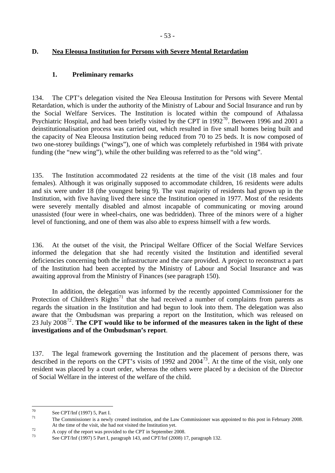## **D. Nea Eleousa Institution for Persons with Severe Mental Retardation**

## **1. Preliminary remarks**

134. The CPT's delegation visited the Nea Eleousa Institution for Persons with Severe Mental Retardation, which is under the authority of the Ministry of Labour and Social Insurance and run by the Social Welfare Services. The Institution is located within the compound of Athalassa Psychiatric Hospital, and had been briefly visited by the CPT in  $1992^{70}$  $1992^{70}$  $1992^{70}$ . Between 1996 and 2001 a deinstitutionalisation process was carried out, which resulted in five small homes being built and the capacity of Nea Eleousa Institution being reduced from 70 to 25 beds. It is now composed of two one-storey buildings ("wings"), one of which was completely refurbished in 1984 with private funding (the "new wing"), while the other building was referred to as the "old wing".

135. The Institution accommodated 22 residents at the time of the visit (18 males and four females). Although it was originally supposed to accommodate children, 16 residents were adults and six were under 18 (the youngest being 9). The vast majority of residents had grown up in the Institution, with five having lived there since the Institution opened in 1977. Most of the residents were severely mentally disabled and almost incapable of communicating or moving around unassisted (four were in wheel-chairs, one was bedridden). Three of the minors were of a higher level of functioning, and one of them was also able to express himself with a few words.

136. At the outset of the visit, the Principal Welfare Officer of the Social Welfare Services informed the delegation that she had recently visited the Institution and identified several deficiencies concerning both the infrastructure and the care provided. A project to reconstruct a part of the Institution had been accepted by the Ministry of Labour and Social Insurance and was awaiting approval from the Ministry of Finances (see paragraph 150).

In addition, the delegation was informed by the recently appointed Commissioner for the Protection of Children's Rights<sup>[71](#page-52-1)</sup> that she had received a number of complaints from parents as regards the situation in the Institution and had begun to look into them. The delegation was also aware that the Ombudsman was preparing a report on the Institution, which was released on 23 July 2008[72](#page-52-2). **The CPT would like to be informed of the measures taken in the light of these investigations and of the Ombudsman's report**.

137. The legal framework governing the Institution and the placement of persons there, was described in the reports on the CPT's visits of 1992 and  $2004^{73}$  $2004^{73}$  $2004^{73}$ . At the time of the visit, only one resident was placed by a court order, whereas the others were placed by a decision of the Director of Social Welfare in the interest of the welfare of the child.

 $70$ 

<span id="page-52-1"></span><span id="page-52-0"></span><sup>&</sup>lt;sup>70</sup> See CPT/Inf (1997) 5, Part I.<br><sup>71</sup> The Commissioner is a newly created institution, and the Law Commissioner was appointed to this post in February 2008.

<span id="page-52-2"></span>At the time of the visit, she had not visited the Institution yet.<br>
A copy of the report was provided to the CPT in September 2008.

<span id="page-52-3"></span>See CPT/Inf (1997) 5 Part I, paragraph 143, and CPT/Inf (2008) 17, paragraph 132.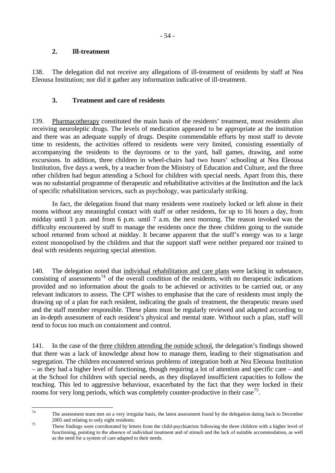## **2. Ill-treatment**

138. The delegation did not receive any allegations of ill-treatment of residents by staff at Nea Eleousa Institution; nor did it gather any information indicative of ill-treatment.

## **3. Treatment and care of residents**

139. Pharmacotherapy constituted the main basis of the residents' treatment, most residents also receiving neuroleptic drugs. The levels of medication appeared to be appropriate at the institution and there was an adequate supply of drugs. Despite commendable efforts by most staff to devote time to residents, the activities offered to residents were very limited, consisting essentially of accompanying the residents to the dayrooms or to the yard, ball games, drawing, and some excursions. In addition, three children in wheel-chairs had two hours' schooling at Nea Eleousa Institution, five days a week, by a teacher from the Ministry of Education and Culture, and the three other children had begun attending a School for children with special needs. Apart from this, there was no substantial programme of therapeutic and rehabilitative activities at the Institution and the lack of specific rehabilitation services, such as psychology, was particularly striking.

 In fact, the delegation found that many residents were routinely locked or left alone in their rooms without any meaningful contact with staff or other residents, for up to 16 hours a day, from midday until 3 p.m. and from 6 p.m. until 7 a.m. the next morning. The reason invoked was the difficulty encountered by staff to manage the residents once the three children going to the outside school returned from school at midday. It became apparent that the staff's energy was to a large extent monopolised by the children and that the support staff were neither prepared nor trained to deal with residents requiring special attention.

140. The delegation noted that individual rehabilitation and care plans were lacking in substance, consisting of assessments<sup>[74](#page-53-0)</sup> of the overall condition of the residents, with no therapeutic indications provided and no information about the goals to be achieved or activities to be carried out, or any relevant indicators to assess. The CPT wishes to emphasise that the care of residents must imply the drawing up of a plan for each resident, indicating the goals of treatment, the therapeutic means used and the staff member responsible. These plans must be regularly reviewed and adapted according to an in-depth assessment of each resident's physical and mental state. Without such a plan, staff will tend to focus too much on containment and control.

141. In the case of the three children attending the outside school, the delegation's findings showed that there was a lack of knowledge about how to manage them, leading to their stigmatisation and segregation. The children encountered serious problems of integration both at Nea Eleousa Institution – as they had a higher level of functioning, though requiring a lot of attention and specific care – and at the School for children with special needs, as they displayed insufficient capacities to follow the teaching. This led to aggressive behaviour, exacerbated by the fact that they were locked in their rooms for very long periods, which was completely counter-productive in their case<sup>[75](#page-53-1)</sup>.

<span id="page-53-0"></span><sup>74</sup> The assessment team met on a very irregular basis, the latest assessment found by the delegation dating back to December 2005 and relating to only eight residents.<br>These findings were corroborated by letters from the child-psychiatrists following the three children with a higher level of

<span id="page-53-1"></span>functioning, pointing to the absence of individual treatment and of stimuli and the lack of suitable accommodation, as well as the need for a system of care adapted to their needs.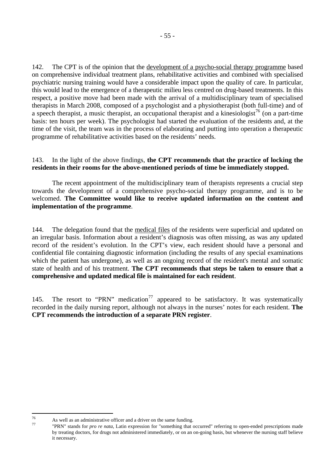142. The CPT is of the opinion that the development of a psycho-social therapy programme based on comprehensive individual treatment plans, rehabilitative activities and combined with specialised psychiatric nursing training would have a considerable impact upon the quality of care. In particular, this would lead to the emergence of a therapeutic milieu less centred on drug-based treatments. In this respect, a positive move had been made with the arrival of a multidisciplinary team of specialised therapists in March 2008, composed of a psychologist and a physiotherapist (both full-time) and of a speech therapist, a music therapist, an occupational therapist and a kinesiologist<sup>[76](#page-54-0)</sup> (on a part-time basis: ten hours per week). The psychologist had started the evaluation of the residents and, at the time of the visit, the team was in the process of elaborating and putting into operation a therapeutic programme of rehabilitative activities based on the residents' needs.

## 143. In the light of the above findings, **the CPT recommends that the practice of locking the residents in their rooms for the above-mentioned periods of time be immediately stopped.**

The recent appointment of the multidisciplinary team of therapists represents a crucial step towards the development of a comprehensive psycho-social therapy programme, and is to be welcomed. **The Committee would like to receive updated information on the content and implementation of the programme**.

144. The delegation found that the medical files of the residents were superficial and updated on an irregular basis. Information about a resident's diagnosis was often missing, as was any updated record of the resident's evolution. In the CPT's view, each resident should have a personal and confidential file containing diagnostic information (including the results of any special examinations which the patient has undergone), as well as an ongoing record of the resident's mental and somatic state of health and of his treatment. **The CPT recommends that steps be taken to ensure that a comprehensive and updated medical file is maintained for each resident**.

145. The resort to "PRN" medication<sup>[77](#page-54-1)</sup> appeared to be satisfactory. It was systematically recorded in the daily nursing report, although not always in the nurses' notes for each resident. **The CPT recommends the introduction of a separate PRN register**.

<sup>76</sup> 

<span id="page-54-1"></span><span id="page-54-0"></span><sup>&</sup>lt;sup>76</sup> As well as an administrative officer and a driver on the same funding.<br><sup>77</sup> "PRN" stands for *pro re nata*, Latin expression for "something that occurred" referring to open-ended prescriptions made by treating doctors, for drugs not administered immediately, or on an on-going basis, but whenever the nursing staff believe it necessary.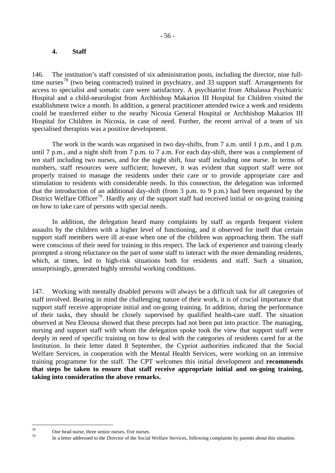## **4. Staff**

146. The institution's staff consisted of six administration posts, including the director, nine full-time nurses<sup>[78](#page-55-0)</sup> (two being contracted) trained in psychiatry, and 33 support staff. Arrangements for access to specialist and somatic care were satisfactory. A psychiatrist from Athalassa Psychiatric Hospital and a child-neurologist from Archbishop Makarios III Hospital for Children visited the establishment twice a month. In addition, a general practitioner attended twice a week and residents could be transferred either to the nearby Nicosia General Hospital or Archbishop Makarios III Hospital for Children in Nicosia, in case of need. Further, the recent arrival of a team of six specialised therapists was a positive development.

 The work in the wards was organised in two day-shifts, from 7 a.m. until 1 p.m., and 1 p.m. until 7 p.m., and a night shift from 7 p.m. to 7 a.m. For each day-shift, there was a complement of ten staff including two nurses, and for the night shift, four staff including one nurse. In terms of numbers, staff resources were sufficient; however, it was evident that support staff were not properly trained to manage the residents under their care or to provide appropriate care and stimulation to residents with considerable needs. In this connection, the delegation was informed that the introduction of an additional day-shift (from 3 p.m. to 9 p.m.) had been requested by the District Welfare Officer<sup>[79](#page-55-1)</sup>. Hardly any of the support staff had received initial or on-going training on how to take care of persons with special needs.

In addition, the delegation heard many complaints by staff as regards frequent violent assaults by the children with a higher level of functioning, and it observed for itself that certain support staff members were ill at-ease when one of the children was approaching them. The staff were conscious of their need for training in this respect. The lack of experience and training clearly prompted a strong reluctance on the part of some staff to interact with the more demanding residents, which, at times, led to high-risk situations both for residents and staff. Such a situation, unsurprisingly, generated highly stressful working conditions.

147. Working with mentally disabled persons will always be a difficult task for all categories of staff involved. Bearing in mind the challenging nature of their work, it is of crucial importance that support staff receive appropriate initial and on-going training. In addition, during the performance of their tasks, they should be closely supervised by qualified health-care staff. The situation observed at Nea Eleousa showed that these precepts had not been put into practice. The managing, nursing and support staff with whom the delegation spoke took the view that support staff were deeply in need of specific training on how to deal with the categories of residents cared for at the Institution. In their letter dated 8 September, the Cypriot authorities indicated that the Social Welfare Services, in cooperation with the Mental Health Services, were working on an intensive training programme for the staff. The CPT welcomes this initial development and **recommends that steps be taken to ensure that staff receive appropriate initial and on-going training, taking into consideration the above remarks.** 

<span id="page-55-1"></span><span id="page-55-0"></span><sup>78</sup>  $^{78}$  One head nurse, three senior nurses, five nurses.

<sup>79</sup> In a letter addressed to the Director of the Social Welfare Services, following complaints by parents about this situation.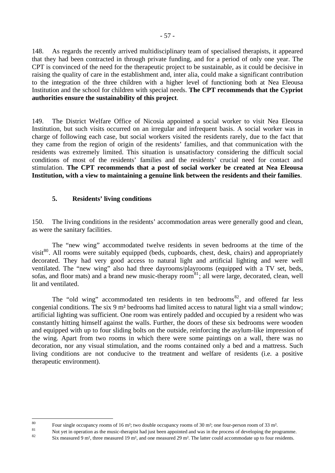148. As regards the recently arrived multidisciplinary team of specialised therapists, it appeared that they had been contracted in through private funding, and for a period of only one year. The CPT is convinced of the need for the therapeutic project to be sustainable, as it could be decisive in raising the quality of care in the establishment and, inter alia, could make a significant contribution to the integration of the three children with a higher level of functioning both at Nea Eleousa Institution and the school for children with special needs. **The CPT recommends that the Cypriot authorities ensure the sustainability of this project**.

149. The District Welfare Office of Nicosia appointed a social worker to visit Nea Eleousa Institution, but such visits occurred on an irregular and infrequent basis. A social worker was in charge of following each case, but social workers visited the residents rarely, due to the fact that they came from the region of origin of the residents' families, and that communication with the residents was extremely limited. This situation is unsatisfactory considering the difficult social conditions of most of the residents' families and the residents' crucial need for contact and stimulation. **The CPT recommends that a post of social worker be created at Nea Eleousa Institution, with a view to maintaining a genuine link between the residents and their families**.

## **5. Residents' living conditions**

150. The living conditions in the residents' accommodation areas were generally good and clean, as were the sanitary facilities.

The "new wing" accommodated twelve residents in seven bedrooms at the time of the visit<sup>[80](#page-56-0)</sup>. All rooms were suitably equipped (beds, cupboards, chest, desk, chairs) and appropriately decorated. They had very good access to natural light and artificial lighting and were well ventilated. The "new wing" also had three dayrooms/playrooms (equipped with a TV set, beds, sofas, and floor mats) and a brand new music-therapy room<sup>[81](#page-56-1)</sup>; all were large, decorated, clean, well lit and ventilated.

The "old wing" accommodated ten residents in ten bedrooms<sup>[82](#page-56-2)</sup>, and offered far less congenial conditions. The six 9 m² bedrooms had limited access to natural light via a small window; artificial lighting was sufficient. One room was entirely padded and occupied by a resident who was constantly hitting himself against the walls. Further, the doors of these six bedrooms were wooden and equipped with up to four sliding bolts on the outside, reinforcing the asylum-like impression of the wing. Apart from two rooms in which there were some paintings on a wall, there was no decoration, nor any visual stimulation, and the rooms contained only a bed and a mattress. Such living conditions are not conducive to the treatment and welfare of residents (i.e. a positive therapeutic environment).

 $80$ 

<span id="page-56-1"></span><span id="page-56-0"></span>Four single occupancy rooms of 16 m<sup>2</sup>; two double occupancy rooms of 30 m<sup>2</sup>; one four-person room of 33 m<sup>2</sup>.<br>
Not yet in operation as the music-therapist had just been appointed and was in the process of developing the

<span id="page-56-2"></span>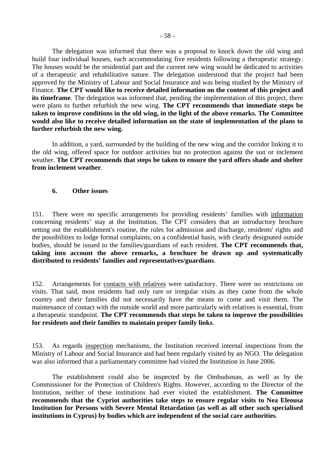The delegation was informed that there was a proposal to knock down the old wing and build four individual houses, each accommodating five residents following a therapeutic strategy. The houses would be the residential part and the current new wing would be dedicated to activities of a therapeutic and rehabilitative nature. The delegation understood that the project had been approved by the Ministry of Labour and Social Insurance and was being studied by the Ministry of Finance. **The CPT would like to receive detailed information on the content of this project and**  its timeframe. The delegation was informed that, pending the implementation of this project, there were plans to further refurbish the new wing. **The CPT recommends that immediate steps be taken to improve conditions in the old wing, in the light of the above remarks. The Committee would also like to receive detailed information on the state of implementation of the plans to further refurbish the new wing.** 

In addition, a yard, surrounded by the building of the new wing and the corridor linking it to the old wing, offered space for outdoor activities but no protection against the sun or inclement weather. **The CPT recommends that steps be taken to ensure the yard offers shade and shelter from inclement weather**.

#### **6. Other issues**

151. There were no specific arrangements for providing residents' families with information concerning residents' stay at the Institution. The CPT considers that an introductory brochure setting out the establishment's routine, the rules for admission and discharge, residents' rights and the possibilities to lodge formal complaints, on a confidential basis, with clearly designated outside bodies, should be issued to the families/guardians of each resident. **The CPT recommends that, taking into account the above remarks, a brochure be drawn up and systematically distributed to residents' families and representatives/guardians**.

152. Arrangements for contacts with relatives were satisfactory. There were no restrictions on visits. That said, most residents had only rare or irregular visits as they came from the whole country and their families did not necessarily have the means to come and visit them. The maintenance of contact with the outside world and more particularly with relatives is essential, from a therapeutic standpoint. **The CPT recommends that steps be taken to improve the possibilities for residents and their families to maintain proper family links**.

153. As regards inspection mechanisms, the Institution received internal inspections from the Ministry of Labour and Social Insurance and had been regularly visited by an NGO. The delegation was also informed that a parliamentary committee had visited the Institution in June 2006.

The establishment could also be inspected by the Ombudsman, as well as by the Commissioner for the Protection of Children's Rights. However, according to the Director of the Institution, neither of these institutions had ever visited the establishment. **The Committee recommends that the Cypriot authorities take steps to ensure regular visits to Nea Eleousa Institution for Persons with Severe Mental Retardation (as well as all other such specialised institutions in Cyprus) by bodies which are independent of the social care authorities**.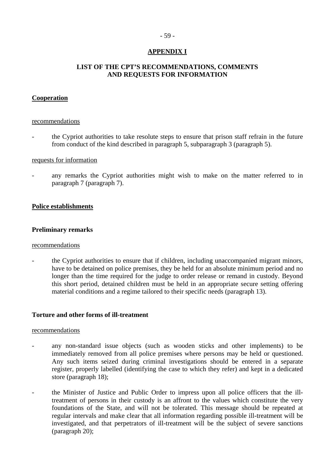## - 59 -

## **APPENDIX I**

## **LIST OF THE CPT'S RECOMMENDATIONS, COMMENTS AND REQUESTS FOR INFORMATION**

## **Cooperation**

#### recommendations

- the Cypriot authorities to take resolute steps to ensure that prison staff refrain in the future from conduct of the kind described in paragraph 5, subparagraph 3 (paragraph 5).

### requests for information

any remarks the Cypriot authorities might wish to make on the matter referred to in paragraph 7 (paragraph 7).

## **Police establishments**

## **Preliminary remarks**

#### recommendations

the Cypriot authorities to ensure that if children, including unaccompanied migrant minors, have to be detained on police premises, they be held for an absolute minimum period and no longer than the time required for the judge to order release or remand in custody. Beyond this short period, detained children must be held in an appropriate secure setting offering material conditions and a regime tailored to their specific needs (paragraph 13).

## **Torture and other forms of ill-treatment**

- any non-standard issue objects (such as wooden sticks and other implements) to be immediately removed from all police premises where persons may be held or questioned. Any such items seized during criminal investigations should be entered in a separate register, properly labelled (identifying the case to which they refer) and kept in a dedicated store (paragraph 18);
- the Minister of Justice and Public Order to impress upon all police officers that the illtreatment of persons in their custody is an affront to the values which constitute the very foundations of the State, and will not be tolerated. This message should be repeated at regular intervals and make clear that all information regarding possible ill-treatment will be investigated, and that perpetrators of ill-treatment will be the subject of severe sanctions (paragraph 20);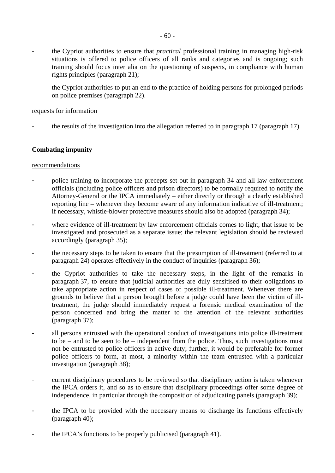- the Cypriot authorities to ensure that *practical* professional training in managing high-risk situations is offered to police officers of all ranks and categories and is ongoing; such training should focus inter alia on the questioning of suspects, in compliance with human rights principles (paragraph 21);
- the Cypriot authorities to put an end to the practice of holding persons for prolonged periods on police premises (paragraph 22).

## requests for information

- the results of the investigation into the allegation referred to in paragraph 17 (paragraph 17).

## **Combating impunity**

- police training to incorporate the precepts set out in paragraph 34 and all law enforcement officials (including police officers and prison directors) to be formally required to notify the Attorney-General or the IPCA immediately – either directly or through a clearly established reporting line – whenever they become aware of any information indicative of ill-treatment; if necessary, whistle-blower protective measures should also be adopted (paragraph 34);
- where evidence of ill-treatment by law enforcement officials comes to light, that issue to be investigated and prosecuted as a separate issue; the relevant legislation should be reviewed accordingly (paragraph 35);
- the necessary steps to be taken to ensure that the presumption of ill-treatment (referred to at paragraph 24) operates effectively in the conduct of inquiries (paragraph 36);
- the Cypriot authorities to take the necessary steps, in the light of the remarks in paragraph 37, to ensure that judicial authorities are duly sensitised to their obligations to take appropriate action in respect of cases of possible ill-treatment. Whenever there are grounds to believe that a person brought before a judge could have been the victim of illtreatment, the judge should immediately request a forensic medical examination of the person concerned and bring the matter to the attention of the relevant authorities (paragraph 37);
- all persons entrusted with the operational conduct of investigations into police ill-treatment to be – and to be seen to be – independent from the police. Thus, such investigations must not be entrusted to police officers in active duty; further, it would be preferable for former police officers to form, at most, a minority within the team entrusted with a particular investigation (paragraph 38);
- current disciplinary procedures to be reviewed so that disciplinary action is taken whenever the IPCA orders it, and so as to ensure that disciplinary proceedings offer some degree of independence, in particular through the composition of adjudicating panels (paragraph 39);
- the IPCA to be provided with the necessary means to discharge its functions effectively (paragraph 40);
- the IPCA's functions to be properly publicised (paragraph 41).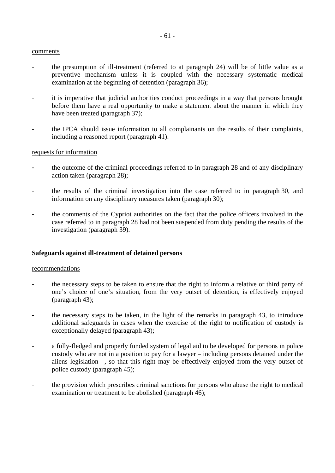#### comments

- the presumption of ill-treatment (referred to at paragraph 24) will be of little value as a preventive mechanism unless it is coupled with the necessary systematic medical examination at the beginning of detention (paragraph 36);
- it is imperative that judicial authorities conduct proceedings in a way that persons brought before them have a real opportunity to make a statement about the manner in which they have been treated (paragraph 37);
- the IPCA should issue information to all complainants on the results of their complaints, including a reasoned report (paragraph 41).

#### requests for information

- the outcome of the criminal proceedings referred to in paragraph 28 and of any disciplinary action taken (paragraph 28);
- the results of the criminal investigation into the case referred to in paragraph 30, and information on any disciplinary measures taken (paragraph 30);
- the comments of the Cypriot authorities on the fact that the police officers involved in the case referred to in paragraph 28 had not been suspended from duty pending the results of the investigation (paragraph 39).

#### **Safeguards against ill-treatment of detained persons**

- the necessary steps to be taken to ensure that the right to inform a relative or third party of one's choice of one's situation, from the very outset of detention, is effectively enjoyed (paragraph 43);
- the necessary steps to be taken, in the light of the remarks in paragraph 43, to introduce additional safeguards in cases when the exercise of the right to notification of custody is exceptionally delayed (paragraph 43);
- a fully-fledged and properly funded system of legal aid to be developed for persons in police custody who are not in a position to pay for a lawyer – including persons detained under the aliens legislation –, so that this right may be effectively enjoyed from the very outset of police custody (paragraph 45);
- the provision which prescribes criminal sanctions for persons who abuse the right to medical examination or treatment to be abolished (paragraph 46);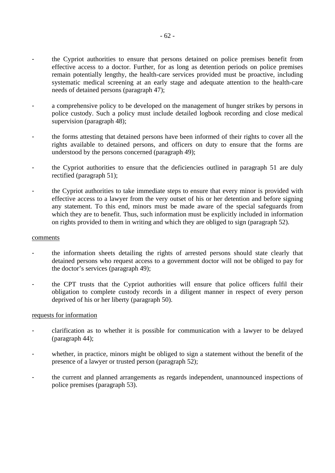- the Cypriot authorities to ensure that persons detained on police premises benefit from effective access to a doctor. Further, for as long as detention periods on police premises remain potentially lengthy, the health-care services provided must be proactive, including systematic medical screening at an early stage and adequate attention to the health-care needs of detained persons (paragraph 47);
- a comprehensive policy to be developed on the management of hunger strikes by persons in police custody. Such a policy must include detailed logbook recording and close medical supervision (paragraph 48);
- the forms attesting that detained persons have been informed of their rights to cover all the rights available to detained persons, and officers on duty to ensure that the forms are understood by the persons concerned (paragraph 49);
- the Cypriot authorities to ensure that the deficiencies outlined in paragraph 51 are duly rectified (paragraph 51);
- the Cypriot authorities to take immediate steps to ensure that every minor is provided with effective access to a lawyer from the very outset of his or her detention and before signing any statement. To this end, minors must be made aware of the special safeguards from which they are to benefit. Thus, such information must be explicitly included in information on rights provided to them in writing and which they are obliged to sign (paragraph 52).

#### comments

- the information sheets detailing the rights of arrested persons should state clearly that detained persons who request access to a government doctor will not be obliged to pay for the doctor's services (paragraph 49);
- the CPT trusts that the Cypriot authorities will ensure that police officers fulfil their obligation to complete custody records in a diligent manner in respect of every person deprived of his or her liberty (paragraph 50).

#### requests for information

- clarification as to whether it is possible for communication with a lawyer to be delayed (paragraph 44);
- whether, in practice, minors might be obliged to sign a statement without the benefit of the presence of a lawyer or trusted person (paragraph 52);
- the current and planned arrangements as regards independent, unannounced inspections of police premises (paragraph 53).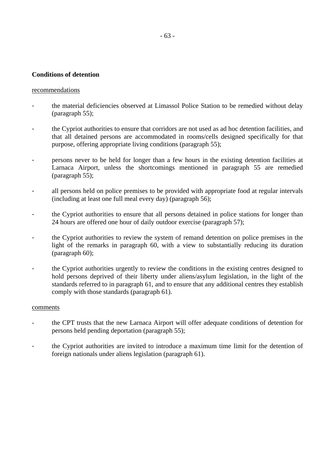### **Conditions of detention**

#### recommendations

- the material deficiencies observed at Limassol Police Station to be remedied without delay (paragraph 55);
- the Cypriot authorities to ensure that corridors are not used as ad hoc detention facilities, and that all detained persons are accommodated in rooms/cells designed specifically for that purpose, offering appropriate living conditions (paragraph 55);
- persons never to be held for longer than a few hours in the existing detention facilities at Larnaca Airport, unless the shortcomings mentioned in paragraph 55 are remedied (paragraph 55);
- all persons held on police premises to be provided with appropriate food at regular intervals (including at least one full meal every day) (paragraph 56);
- the Cypriot authorities to ensure that all persons detained in police stations for longer than 24 hours are offered one hour of daily outdoor exercise (paragraph 57);
- the Cypriot authorities to review the system of remand detention on police premises in the light of the remarks in paragraph 60, with a view to substantially reducing its duration (paragraph 60);
- the Cypriot authorities urgently to review the conditions in the existing centres designed to hold persons deprived of their liberty under aliens/asylum legislation, in the light of the standards referred to in paragraph 61, and to ensure that any additional centres they establish comply with those standards (paragraph 61).

#### comments

- the CPT trusts that the new Larnaca Airport will offer adequate conditions of detention for persons held pending deportation (paragraph 55);
- the Cypriot authorities are invited to introduce a maximum time limit for the detention of foreign nationals under aliens legislation (paragraph 61).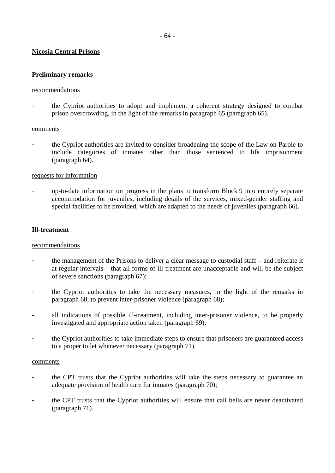## - 64 -

## **Nicosia Central Prisons**

#### **Preliminary remarks**

#### recommendations

- the Cypriot authorities to adopt and implement a coherent strategy designed to combat prison overcrowding, in the light of the remarks in paragraph 65 (paragraph 65).

#### comments

- the Cypriot authorities are invited to consider broadening the scope of the Law on Parole to include categories of inmates other than those sentenced to life imprisonment (paragraph 64).

### requests for information

up-to-date information on progress in the plans to transform Block 9 into entirely separate accommodation for juveniles, including details of the services, mixed-gender staffing and special facilities to be provided, which are adapted to the needs of juveniles (paragraph 66).

## **Ill-treatment**

#### recommendations

- the management of the Prisons to deliver a clear message to custodial staff and reiterate it at regular intervals – that all forms of ill-treatment are unacceptable and will be the subject of severe sanctions (paragraph 67);
- the Cypriot authorities to take the necessary measures, in the light of the remarks in paragraph 68, to prevent inter-prisoner violence (paragraph 68);
- all indications of possible ill-treatment, including inter-prisoner violence, to be properly investigated and appropriate action taken (paragraph 69);
- the Cypriot authorities to take immediate steps to ensure that prisoners are guaranteed access to a proper toilet whenever necessary (paragraph 71).

#### comments

- the CPT trusts that the Cypriot authorities will take the steps necessary to guarantee an adequate provision of health care for inmates (paragraph 70);
- the CPT trusts that the Cypriot authorities will ensure that call bells are never deactivated (paragraph 71).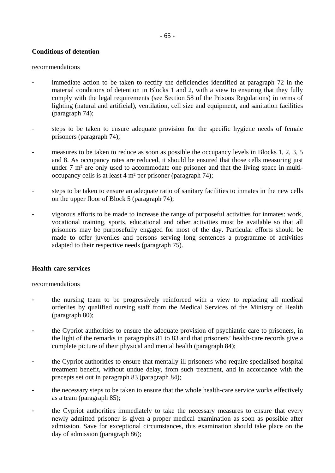## **Conditions of detention**

### recommendations

- immediate action to be taken to rectify the deficiencies identified at paragraph 72 in the material conditions of detention in Blocks 1 and 2, with a view to ensuring that they fully comply with the legal requirements (see Section 58 of the Prisons Regulations) in terms of lighting (natural and artificial), ventilation, cell size and equipment, and sanitation facilities (paragraph 74);
- steps to be taken to ensure adequate provision for the specific hygiene needs of female prisoners (paragraph 74);
- measures to be taken to reduce as soon as possible the occupancy levels in Blocks 1, 2, 3, 5 and 8. As occupancy rates are reduced, it should be ensured that those cells measuring just under 7 m<sup>2</sup> are only used to accommodate one prisoner and that the living space in multioccupancy cells is at least 4 m² per prisoner (paragraph 74);
- steps to be taken to ensure an adequate ratio of sanitary facilities to inmates in the new cells on the upper floor of Block 5 (paragraph 74);
- vigorous efforts to be made to increase the range of purposeful activities for inmates: work, vocational training, sports, educational and other activities must be available so that all prisoners may be purposefully engaged for most of the day. Particular efforts should be made to offer juveniles and persons serving long sentences a programme of activities adapted to their respective needs (paragraph 75).

## **Health-care services**

- the nursing team to be progressively reinforced with a view to replacing all medical orderlies by qualified nursing staff from the Medical Services of the Ministry of Health (paragraph 80);
- the Cypriot authorities to ensure the adequate provision of psychiatric care to prisoners, in the light of the remarks in paragraphs 81 to 83 and that prisoners' health-care records give a complete picture of their physical and mental health (paragraph 84);
- the Cypriot authorities to ensure that mentally ill prisoners who require specialised hospital treatment benefit, without undue delay, from such treatment, and in accordance with the precepts set out in paragraph 83 (paragraph 84);
- the necessary steps to be taken to ensure that the whole health-care service works effectively as a team (paragraph 85);
- the Cypriot authorities immediately to take the necessary measures to ensure that every newly admitted prisoner is given a proper medical examination as soon as possible after admission. Save for exceptional circumstances, this examination should take place on the day of admission (paragraph 86);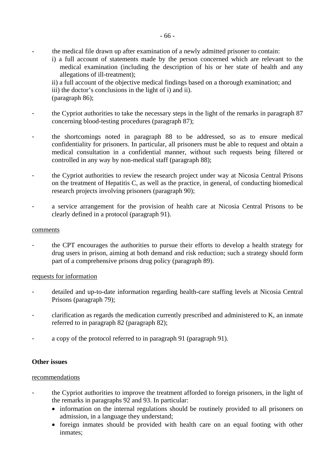- the medical file drawn up after examination of a newly admitted prisoner to contain:
	- i) a full account of statements made by the person concerned which are relevant to the medical examination (including the description of his or her state of health and any allegations of ill-treatment);

ii) a full account of the objective medical findings based on a thorough examination; and iii) the doctor's conclusions in the light of i) and ii). (paragraph 86);

- the Cypriot authorities to take the necessary steps in the light of the remarks in paragraph 87 concerning blood-testing procedures (paragraph 87);
- the shortcomings noted in paragraph 88 to be addressed, so as to ensure medical confidentiality for prisoners. In particular, all prisoners must be able to request and obtain a medical consultation in a confidential manner, without such requests being filtered or controlled in any way by non-medical staff (paragraph 88);
- the Cypriot authorities to review the research project under way at Nicosia Central Prisons on the treatment of Hepatitis C, as well as the practice, in general, of conducting biomedical research projects involving prisoners (paragraph 90);
- a service arrangement for the provision of health care at Nicosia Central Prisons to be clearly defined in a protocol (paragraph 91).

## comments

- the CPT encourages the authorities to pursue their efforts to develop a health strategy for drug users in prison, aiming at both demand and risk reduction; such a strategy should form part of a comprehensive prisons drug policy (paragraph 89).

## requests for information

- detailed and up-to-date information regarding health-care staffing levels at Nicosia Central Prisons (paragraph 79);
- clarification as regards the medication currently prescribed and administered to K, an inmate referred to in paragraph 82 (paragraph 82);
- a copy of the protocol referred to in paragraph 91 (paragraph 91).

## **Other issues**

- the Cypriot authorities to improve the treatment afforded to foreign prisoners, in the light of the remarks in paragraphs 92 and 93. In particular:
	- information on the internal regulations should be routinely provided to all prisoners on admission, in a language they understand;
	- foreign inmates should be provided with health care on an equal footing with other inmates;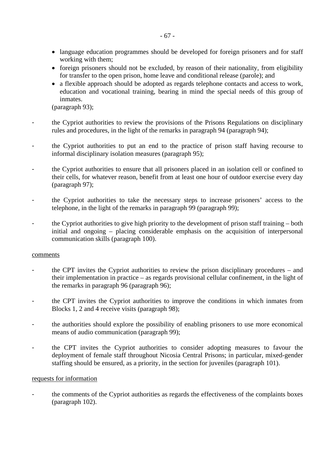- language education programmes should be developed for foreign prisoners and for staff working with them;
- foreign prisoners should not be excluded, by reason of their nationality, from eligibility for transfer to the open prison, home leave and conditional release (parole); and
- a flexible approach should be adopted as regards telephone contacts and access to work, education and vocational training, bearing in mind the special needs of this group of inmates.

(paragraph 93);

- the Cypriot authorities to review the provisions of the Prisons Regulations on disciplinary rules and procedures, in the light of the remarks in paragraph 94 (paragraph 94);
- the Cypriot authorities to put an end to the practice of prison staff having recourse to informal disciplinary isolation measures (paragraph 95);
- the Cypriot authorities to ensure that all prisoners placed in an isolation cell or confined to their cells, for whatever reason, benefit from at least one hour of outdoor exercise every day (paragraph 97);
- the Cypriot authorities to take the necessary steps to increase prisoners' access to the telephone, in the light of the remarks in paragraph 99 (paragraph 99);
- the Cypriot authorities to give high priority to the development of prison staff training both initial and ongoing – placing considerable emphasis on the acquisition of interpersonal communication skills (paragraph 100).

## comments

- the CPT invites the Cypriot authorities to review the prison disciplinary procedures and their implementation in practice – as regards provisional cellular confinement, in the light of the remarks in paragraph 96 (paragraph 96);
- the CPT invites the Cypriot authorities to improve the conditions in which inmates from Blocks 1, 2 and 4 receive visits (paragraph 98);
- the authorities should explore the possibility of enabling prisoners to use more economical means of audio communication (paragraph 99);
- the CPT invites the Cypriot authorities to consider adopting measures to favour the deployment of female staff throughout Nicosia Central Prisons; in particular, mixed-gender staffing should be ensured, as a priority, in the section for juveniles (paragraph 101).

## requests for information

the comments of the Cypriot authorities as regards the effectiveness of the complaints boxes (paragraph 102).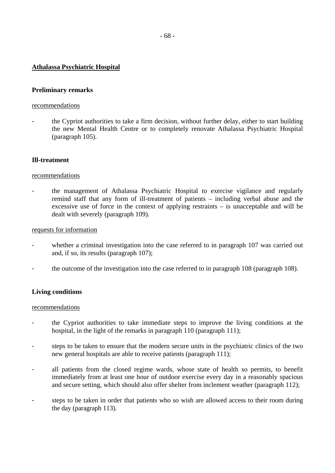## **Athalassa Psychiatric Hospital**

## **Preliminary remarks**

### recommendations

- the Cypriot authorities to take a firm decision, without further delay, either to start building the new Mental Health Centre or to completely renovate Athalassa Psychiatric Hospital (paragraph 105).

## **Ill-treatment**

### recommendations

the management of Athalassa Psychiatric Hospital to exercise vigilance and regularly remind staff that any form of ill-treatment of patients – including verbal abuse and the excessive use of force in the context of applying restraints – is unacceptable and will be dealt with severely (paragraph 109).

### requests for information

- whether a criminal investigation into the case referred to in paragraph 107 was carried out and, if so, its results (paragraph 107);
- the outcome of the investigation into the case referred to in paragraph 108 (paragraph 108).

## **Living conditions**

- the Cypriot authorities to take immediate steps to improve the living conditions at the hospital, in the light of the remarks in paragraph 110 (paragraph 111);
- steps to be taken to ensure that the modern secure units in the psychiatric clinics of the two new general hospitals are able to receive patients (paragraph 111);
- all patients from the closed regime wards, whose state of health so permits, to benefit immediately from at least one hour of outdoor exercise every day in a reasonably spacious and secure setting, which should also offer shelter from inclement weather (paragraph 112);
- steps to be taken in order that patients who so wish are allowed access to their room during the day (paragraph 113).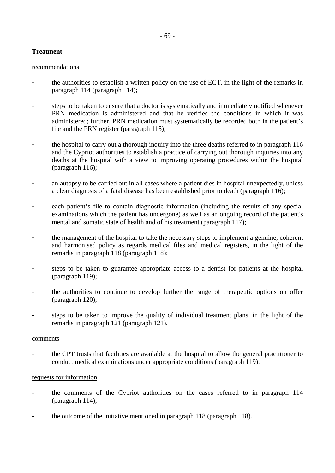## - 69 -

## **Treatment**

### recommendations

- the authorities to establish a written policy on the use of ECT, in the light of the remarks in paragraph 114 (paragraph 114);
- steps to be taken to ensure that a doctor is systematically and immediately notified whenever PRN medication is administered and that he verifies the conditions in which it was administered; further, PRN medication must systematically be recorded both in the patient's file and the PRN register (paragraph 115);
- the hospital to carry out a thorough inquiry into the three deaths referred to in paragraph 116 and the Cypriot authorities to establish a practice of carrying out thorough inquiries into any deaths at the hospital with a view to improving operating procedures within the hospital (paragraph 116);
- an autopsy to be carried out in all cases where a patient dies in hospital unexpectedly, unless a clear diagnosis of a fatal disease has been established prior to death (paragraph 116);
- each patient's file to contain diagnostic information (including the results of any special examinations which the patient has undergone) as well as an ongoing record of the patient's mental and somatic state of health and of his treatment (paragraph 117);
- the management of the hospital to take the necessary steps to implement a genuine, coherent and harmonised policy as regards medical files and medical registers, in the light of the remarks in paragraph 118 (paragraph 118);
- steps to be taken to guarantee appropriate access to a dentist for patients at the hospital (paragraph 119);
- the authorities to continue to develop further the range of therapeutic options on offer (paragraph 120);
- steps to be taken to improve the quality of individual treatment plans, in the light of the remarks in paragraph 121 (paragraph 121).

#### comments

- the CPT trusts that facilities are available at the hospital to allow the general practitioner to conduct medical examinations under appropriate conditions (paragraph 119).

## requests for information

- the comments of the Cypriot authorities on the cases referred to in paragraph 114 (paragraph 114);
- the outcome of the initiative mentioned in paragraph 118 (paragraph 118).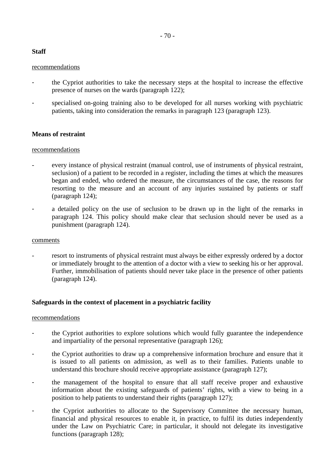# **Staff**

## recommendations

- the Cypriot authorities to take the necessary steps at the hospital to increase the effective presence of nurses on the wards (paragraph 122);
- specialised on-going training also to be developed for all nurses working with psychiatric patients, taking into consideration the remarks in paragraph 123 (paragraph 123).

# **Means of restraint**

## recommendations

- every instance of physical restraint (manual control, use of instruments of physical restraint, seclusion) of a patient to be recorded in a register, including the times at which the measures began and ended, who ordered the measure, the circumstances of the case, the reasons for resorting to the measure and an account of any injuries sustained by patients or staff (paragraph 124);
- a detailed policy on the use of seclusion to be drawn up in the light of the remarks in paragraph 124. This policy should make clear that seclusion should never be used as a punishment (paragraph 124).

## comments

resort to instruments of physical restraint must always be either expressly ordered by a doctor or immediately brought to the attention of a doctor with a view to seeking his or her approval. Further, immobilisation of patients should never take place in the presence of other patients (paragraph 124).

## **Safeguards in the context of placement in a psychiatric facility**

- the Cypriot authorities to explore solutions which would fully guarantee the independence and impartiality of the personal representative (paragraph 126);
- the Cypriot authorities to draw up a comprehensive information brochure and ensure that it is issued to all patients on admission, as well as to their families. Patients unable to understand this brochure should receive appropriate assistance (paragraph 127);
- the management of the hospital to ensure that all staff receive proper and exhaustive information about the existing safeguards of patients' rights, with a view to being in a position to help patients to understand their rights (paragraph 127);
- the Cypriot authorities to allocate to the Supervisory Committee the necessary human, financial and physical resources to enable it, in practice, to fulfil its duties independently under the Law on Psychiatric Care; in particular, it should not delegate its investigative functions (paragraph 128);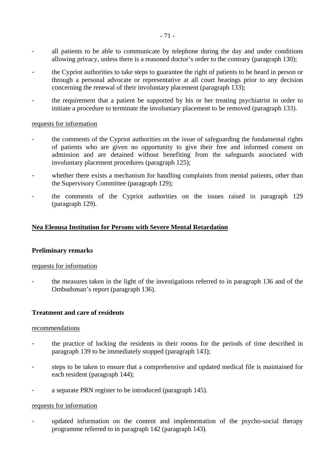- all patients to be able to communicate by telephone during the day and under conditions allowing privacy, unless there is a reasoned doctor's order to the contrary (paragraph 130);
- the Cypriot authorities to take steps to guarantee the right of patients to be heard in person or through a personal advocate or representative at all court hearings prior to any decision concerning the renewal of their involuntary placement (paragraph 133);
- the requirement that a patient be supported by his or her treating psychiatrist in order to initiate a procedure to terminate the involuntary placement to be removed (paragraph 133).

### requests for information

- the comments of the Cypriot authorities on the issue of safeguarding the fundamental rights of patients who are given no opportunity to give their free and informed consent on admission and are detained without benefiting from the safeguards associated with involuntary placement procedures (paragraph 125);
- whether there exists a mechanism for handling complaints from mental patients, other than the Supervisory Committee (paragraph 129);
- the comments of the Cypriot authorities on the issues raised in paragraph 129 (paragraph 129).

## **Nea Eleousa Institution for Persons with Severe Mental Retardation**

#### **Preliminary remarks**

#### requests for information

- the measures taken in the light of the investigations referred to in paragraph 136 and of the Ombudsman's report (paragraph 136).

## **Treatment and care of residents**

#### recommendations

- the practice of locking the residents in their rooms for the periods of time described in paragraph 139 to be immediately stopped (paragraph 143);
- steps to be taken to ensure that a comprehensive and updated medical file is maintained for each resident (paragraph 144);
- a separate PRN register to be introduced (paragraph 145).

#### requests for information

updated information on the content and implementation of the psycho-social therapy programme referred to in paragraph 142 (paragraph 143).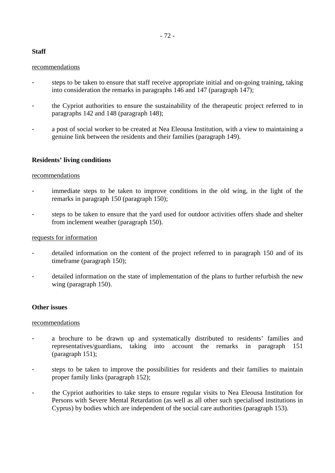# - 72 -

# **Staff**

## recommendations

- steps to be taken to ensure that staff receive appropriate initial and on-going training, taking into consideration the remarks in paragraphs 146 and 147 (paragraph 147);
- the Cypriot authorities to ensure the sustainability of the therapeutic project referred to in paragraphs 142 and 148 (paragraph 148);
- a post of social worker to be created at Nea Eleousa Institution, with a view to maintaining a genuine link between the residents and their families (paragraph 149).

## **Residents' living conditions**

## recommendations

- immediate steps to be taken to improve conditions in the old wing, in the light of the remarks in paragraph 150 (paragraph 150);
- steps to be taken to ensure that the yard used for outdoor activities offers shade and shelter from inclement weather (paragraph 150).

## requests for information

- detailed information on the content of the project referred to in paragraph 150 and of its timeframe (paragraph 150);
- detailed information on the state of implementation of the plans to further refurbish the new wing (paragraph 150).

## **Other issues**

- a brochure to be drawn up and systematically distributed to residents' families and representatives/guardians, taking into account the remarks in paragraph 151 (paragraph 151);
- steps to be taken to improve the possibilities for residents and their families to maintain proper family links (paragraph 152);
- the Cypriot authorities to take steps to ensure regular visits to Nea Eleousa Institution for Persons with Severe Mental Retardation (as well as all other such specialised institutions in Cyprus) by bodies which are independent of the social care authorities (paragraph 153).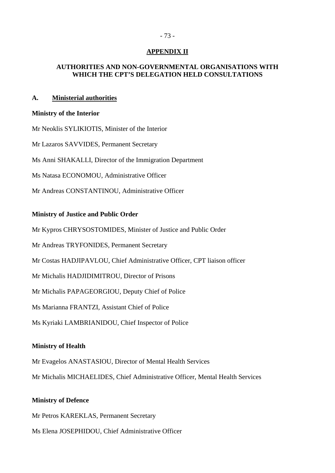# **APPENDIX II**

# **AUTHORITIES AND NON-GOVERNMENTAL ORGANISATIONS WITH WHICH THE CPT'S DELEGATION HELD CONSULTATIONS**

### **A. Ministerial authorities**

#### **Ministry of the Interior**

Mr Neoklis SYLIKIOTIS, Minister of the Interior

Mr Lazaros SAVVIDES, Permanent Secretary

Ms Anni SHAKALLI, Director of the Immigration Department

Ms Natasa ECONOMOU, Administrative Officer

Mr Andreas CONSTANTINOU, Administrative Officer

### **Ministry of Justice and Public Order**

Mr Kypros CHRYSOSTOMIDES, Minister of Justice and Public Order

Mr Andreas TRYFONIDES, Permanent Secretary

Mr Costas HADJIPAVLOU, Chief Administrative Officer, CPT liaison officer

Mr Michalis HADJIDIMITROU, Director of Prisons

Mr Michalis PAPAGEORGIOU, Deputy Chief of Police

Ms Marianna FRANTZI, Assistant Chief of Police

Ms Kyriaki LAMBRIANIDOU, Chief Inspector of Police

## **Ministry of Health**

Mr Evagelos ANASTASIOU, Director of Mental Health Services

Mr Michalis MICHAELIDES, Chief Administrative Officer, Mental Health Services

#### **Ministry of Defence**

Mr Petros KAREKLAS, Permanent Secretary

Ms Elena JOSEPHIDOU, Chief Administrative Officer